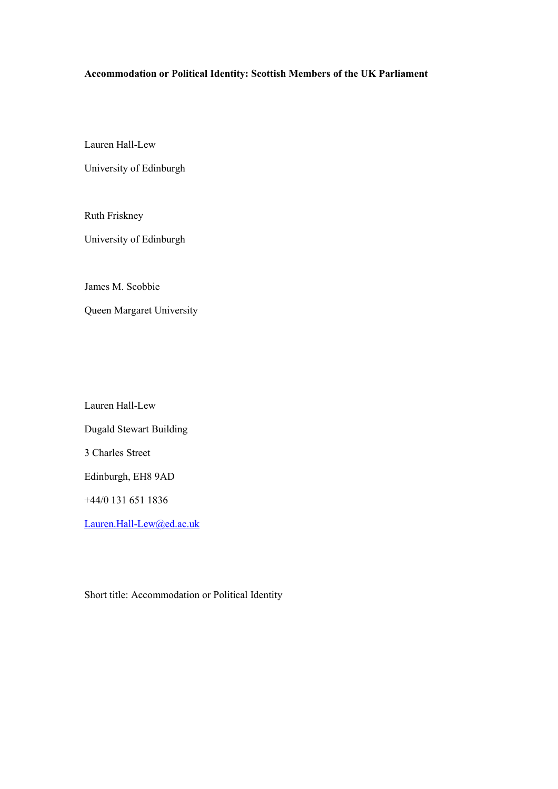# **Accommodation or Political Identity: Scottish Members of the UK Parliament**

Lauren Hall-Lew

University of Edinburgh

Ruth Friskney

University of Edinburgh

James M. Scobbie

Queen Margaret University

Lauren Hall-Lew Dugald Stewart Building 3 Charles Street Edinburgh, EH8 9AD +44/0 131 651 1836

[Lauren.Hall-Lew@ed.ac.uk](mailto:Lauren.Hall-Lew@ed.ac.uk)

Short title: Accommodation or Political Identity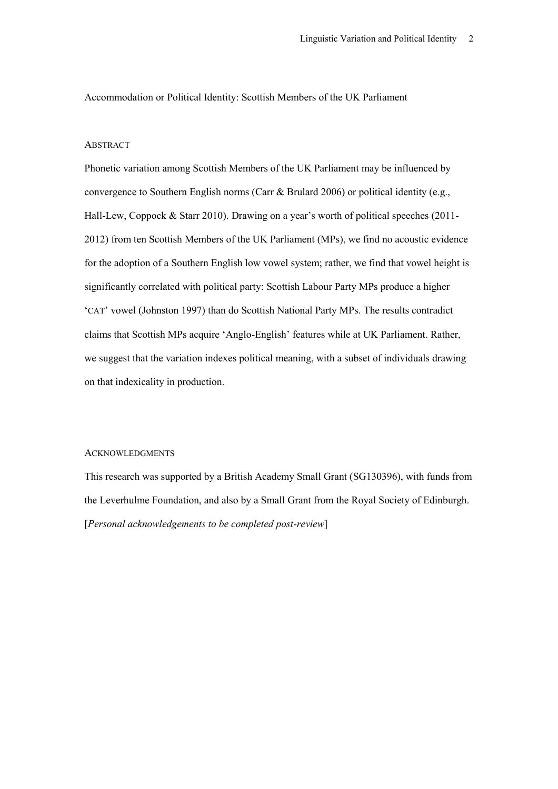Accommodation or Political Identity: Scottish Members of the UK Parliament

### **ABSTRACT**

Phonetic variation among Scottish Members of the UK Parliament may be influenced by convergence to Southern English norms (Carr & Brulard 2006) or political identity (e.g., Hall-Lew, Coppock & Starr 2010). Drawing on a year's worth of political speeches (2011- 2012) from ten Scottish Members of the UK Parliament (MPs), we find no acoustic evidence for the adoption of a Southern English low vowel system; rather, we find that vowel height is significantly correlated with political party: Scottish Labour Party MPs produce a higher 'CAT' vowel (Johnston 1997) than do Scottish National Party MPs. The results contradict claims that Scottish MPs acquire 'Anglo-English' features while at UK Parliament. Rather, we suggest that the variation indexes political meaning, with a subset of individuals drawing on that indexicality in production.

#### ACKNOWLEDGMENTS

This research was supported by a British Academy Small Grant (SG130396), with funds from the Leverhulme Foundation, and also by a Small Grant from the Royal Society of Edinburgh. [*Personal acknowledgements to be completed post-review*]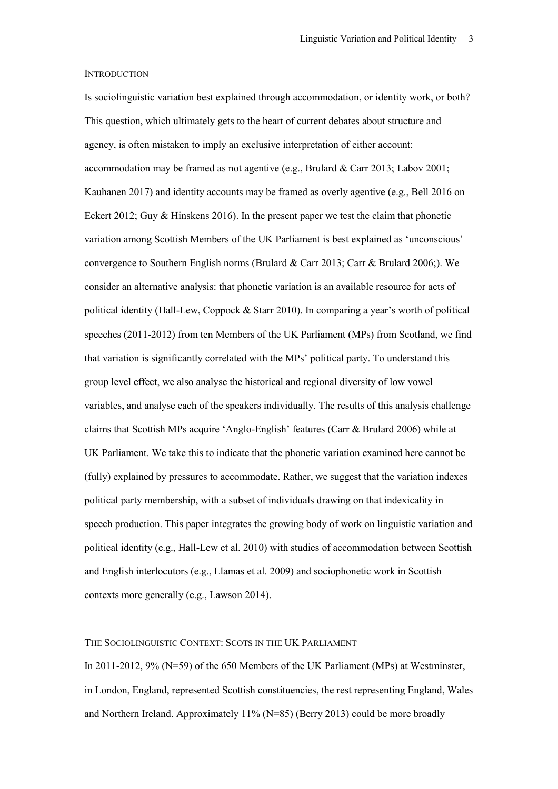#### **INTRODUCTION**

Is sociolinguistic variation best explained through accommodation, or identity work, or both? This question, which ultimately gets to the heart of current debates about structure and agency, is often mistaken to imply an exclusive interpretation of either account: accommodation may be framed as not agentive (e.g., Brulard & Carr 2013; Labov 2001; Kauhanen 2017) and identity accounts may be framed as overly agentive (e.g., Bell 2016 on Eckert 2012; Guy & Hinskens 2016). In the present paper we test the claim that phonetic variation among Scottish Members of the UK Parliament is best explained as 'unconscious' convergence to Southern English norms (Brulard & Carr 2013; Carr & Brulard 2006;). We consider an alternative analysis: that phonetic variation is an available resource for acts of political identity (Hall-Lew, Coppock & Starr 2010). In comparing a year's worth of political speeches (2011-2012) from ten Members of the UK Parliament (MPs) from Scotland, we find that variation is significantly correlated with the MPs' political party. To understand this group level effect, we also analyse the historical and regional diversity of low vowel variables, and analyse each of the speakers individually. The results of this analysis challenge claims that Scottish MPs acquire 'Anglo-English' features (Carr & Brulard 2006) while at UK Parliament. We take this to indicate that the phonetic variation examined here cannot be (fully) explained by pressures to accommodate. Rather, we suggest that the variation indexes political party membership, with a subset of individuals drawing on that indexicality in speech production. This paper integrates the growing body of work on linguistic variation and political identity (e.g., Hall-Lew et al. 2010) with studies of accommodation between Scottish and English interlocutors (e.g., Llamas et al. 2009) and sociophonetic work in Scottish contexts more generally (e.g., Lawson 2014).

# THE SOCIOLINGUISTIC CONTEXT: SCOTS IN THE UK PARLIAMENT

In 2011-2012, 9% (N=59) of the 650 Members of the UK Parliament (MPs) at Westminster, in London, England, represented Scottish constituencies, the rest representing England, Wales and Northern Ireland. Approximately 11% (N=85) (Berry 2013) could be more broadly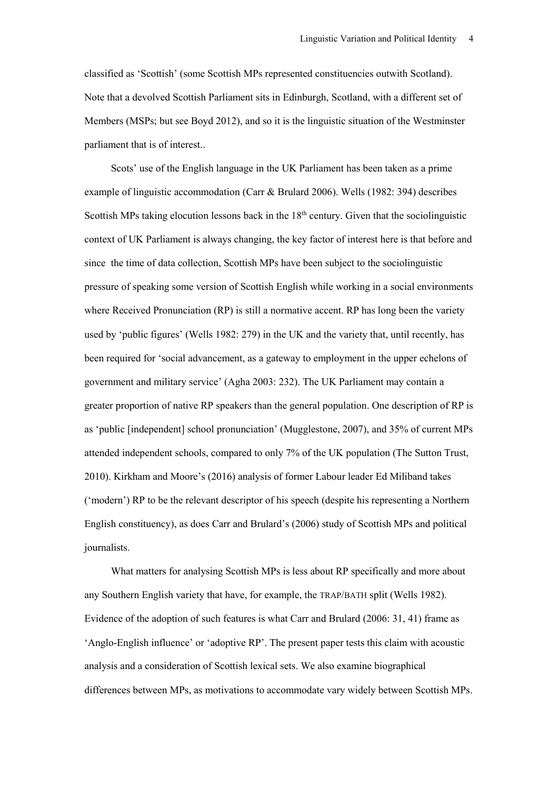classified as 'Scottish' (some Scottish MPs represented constituencies outwith Scotland). Note that a devolved Scottish Parliament sits in Edinburgh, Scotland, with a different set of Members (MSPs; but see Boyd 2012), and so it is the linguistic situation of the Westminster parliament that is of interest..

Scots' use of the English language in the UK Parliament has been taken as a prime example of linguistic accommodation (Carr & Brulard 2006). Wells (1982: 394) describes Scottish MPs taking elocution lessons back in the  $18<sup>th</sup>$  century. Given that the sociolinguistic context of UK Parliament is always changing, the key factor of interest here is that before and since the time of data collection, Scottish MPs have been subject to the sociolinguistic pressure of speaking some version of Scottish English while working in a social environments where Received Pronunciation (RP) is still a normative accent. RP has long been the variety used by 'public figures' (Wells 1982: 279) in the UK and the variety that, until recently, has been required for 'social advancement, as a gateway to employment in the upper echelons of government and military service' (Agha 2003: 232). The UK Parliament may contain a greater proportion of native RP speakers than the general population. One description of RP is as 'public [independent] school pronunciation' (Mugglestone, 2007), and 35% of current MPs attended independent schools, compared to only 7% of the UK population (The Sutton Trust, 2010). Kirkham and Moore's (2016) analysis of former Labour leader Ed Miliband takes ('modern') RP to be the relevant descriptor of his speech (despite his representing a Northern English constituency), as does Carr and Brulard's (2006) study of Scottish MPs and political journalists.

What matters for analysing Scottish MPs is less about RP specifically and more about any Southern English variety that have, for example, the TRAP/BATH split (Wells 1982). Evidence of the adoption of such features is what Carr and Brulard (2006: 31, 41) frame as 'Anglo-English influence' or 'adoptive RP'. The present paper tests this claim with acoustic analysis and a consideration of Scottish lexical sets. We also examine biographical differences between MPs, as motivations to accommodate vary widely between Scottish MPs.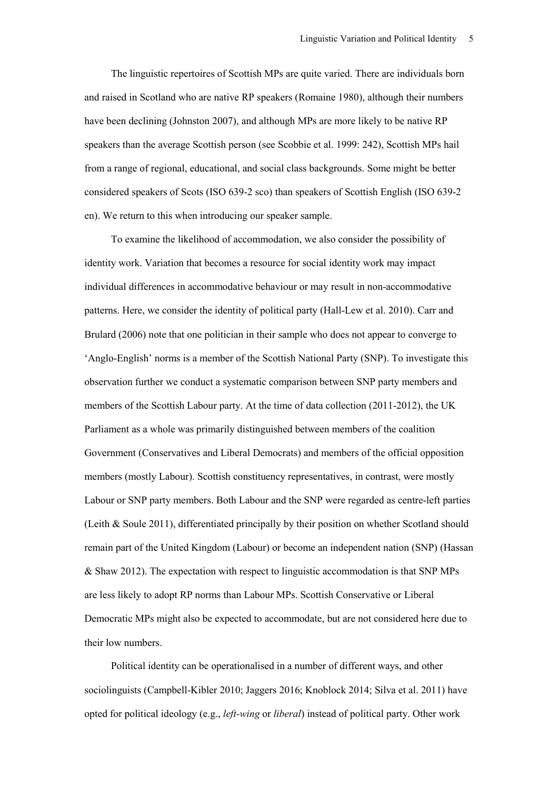The linguistic repertoires of Scottish MPs are quite varied. There are individuals born and raised in Scotland who are native RP speakers (Romaine 1980), although their numbers have been declining (Johnston 2007), and although MPs are more likely to be native RP speakers than the average Scottish person (see Scobbie et al. 1999: 242), Scottish MPs hail from a range of regional, educational, and social class backgrounds. Some might be better considered speakers of Scots (ISO 639-2 sco) than speakers of Scottish English (ISO 639-2 en). We return to this when introducing our speaker sample.

To examine the likelihood of accommodation, we also consider the possibility of identity work. Variation that becomes a resource for social identity work may impact individual differences in accommodative behaviour or may result in non-accommodative patterns. Here, we consider the identity of political party (Hall-Lew et al. 2010). Carr and Brulard (2006) note that one politician in their sample who does not appear to converge to 'Anglo-English' norms is a member of the Scottish National Party (SNP). To investigate this observation further we conduct a systematic comparison between SNP party members and members of the Scottish Labour party. At the time of data collection (2011-2012), the UK Parliament as a whole was primarily distinguished between members of the coalition Government (Conservatives and Liberal Democrats) and members of the official opposition members (mostly Labour). Scottish constituency representatives, in contrast, were mostly Labour or SNP party members. Both Labour and the SNP were regarded as centre-left parties (Leith & Soule 2011), differentiated principally by their position on whether Scotland should remain part of the United Kingdom (Labour) or become an independent nation (SNP) (Hassan & Shaw 2012). The expectation with respect to linguistic accommodation is that SNP MPs are less likely to adopt RP norms than Labour MPs. Scottish Conservative or Liberal Democratic MPs might also be expected to accommodate, but are not considered here due to their low numbers.

Political identity can be operationalised in a number of different ways, and other sociolinguists (Campbell-Kibler 2010; Jaggers 2016; Knoblock 2014; Silva et al. 2011) have opted for political ideology (e.g., *left-wing* or *liberal*) instead of political party. Other work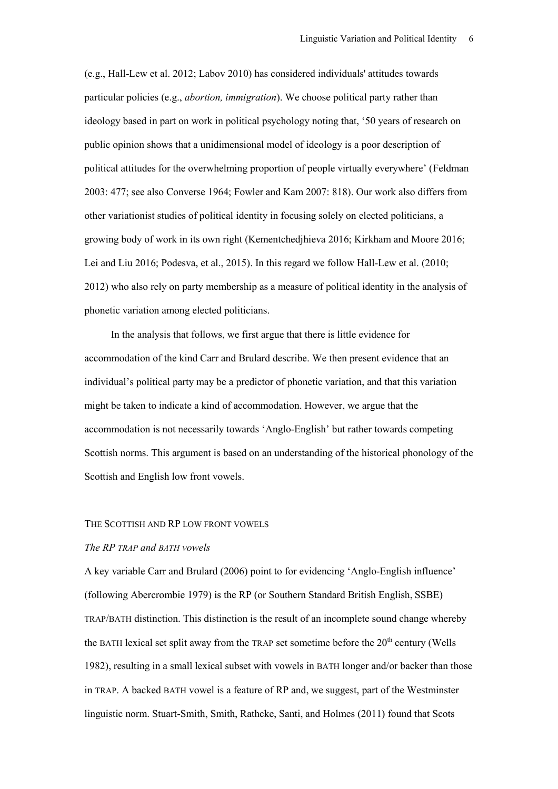(e.g., Hall-Lew et al. 2012; Labov 2010) has considered individuals' attitudes towards particular policies (e.g., *abortion, immigration*). We choose political party rather than ideology based in part on work in political psychology noting that, '50 years of research on public opinion shows that a unidimensional model of ideology is a poor description of political attitudes for the overwhelming proportion of people virtually everywhere' (Feldman 2003: 477; see also Converse 1964; Fowler and Kam 2007: 818). Our work also differs from other variationist studies of political identity in focusing solely on elected politicians, a growing body of work in its own right (Kementchedjhieva 2016; Kirkham and Moore 2016; Lei and Liu 2016; Podesva, et al., 2015). In this regard we follow Hall-Lew et al. (2010; 2012) who also rely on party membership as a measure of political identity in the analysis of phonetic variation among elected politicians.

In the analysis that follows, we first argue that there is little evidence for accommodation of the kind Carr and Brulard describe. We then present evidence that an individual's political party may be a predictor of phonetic variation, and that this variation might be taken to indicate a kind of accommodation. However, we argue that the accommodation is not necessarily towards 'Anglo-English' but rather towards competing Scottish norms. This argument is based on an understanding of the historical phonology of the Scottish and English low front vowels.

#### THE SCOTTISH AND RP LOW FRONT VOWELS

# *The RP TRAP and BATH vowels*

A key variable Carr and Brulard (2006) point to for evidencing 'Anglo-English influence' (following Abercrombie 1979) is the RP (or Southern Standard British English, SSBE) TRAP/BATH distinction. This distinction is the result of an incomplete sound change whereby the BATH lexical set split away from the TRAP set sometime before the  $20<sup>th</sup>$  century (Wells 1982), resulting in a small lexical subset with vowels in BATH longer and/or backer than those in TRAP. A backed BATH vowel is a feature of RP and, we suggest, part of the Westminster linguistic norm. Stuart-Smith, Smith, Rathcke, Santi, and Holmes (2011) found that Scots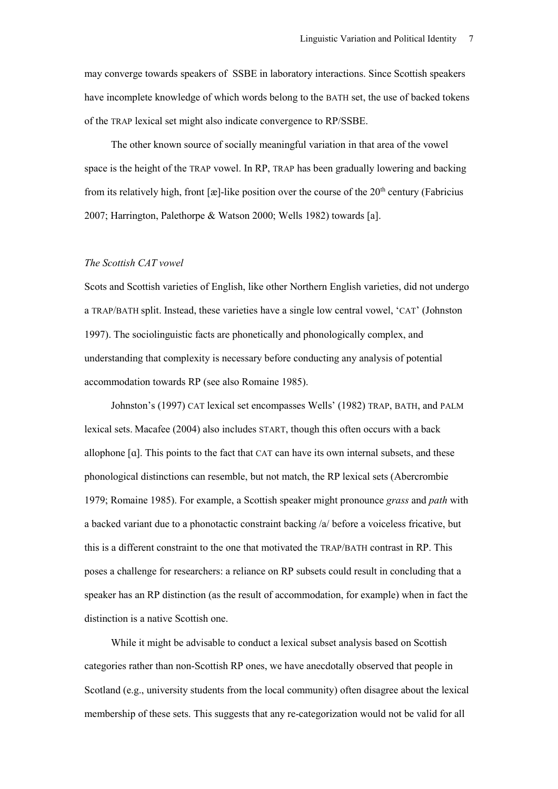may converge towards speakers of SSBE in laboratory interactions. Since Scottish speakers have incomplete knowledge of which words belong to the BATH set, the use of backed tokens of the TRAP lexical set might also indicate convergence to RP/SSBE.

The other known source of socially meaningful variation in that area of the vowel space is the height of the TRAP vowel. In RP, TRAP has been gradually lowering and backing from its relatively high, front  $[\mathfrak{E}]$ -like position over the course of the 20<sup>th</sup> century (Fabricius 2007; Harrington, Palethorpe & Watson 2000; Wells 1982) towards [a].

# *The Scottish CAT vowel*

Scots and Scottish varieties of English, like other Northern English varieties, did not undergo a TRAP/BATH split. Instead, these varieties have a single low central vowel, 'CAT' (Johnston 1997). The sociolinguistic facts are phonetically and phonologically complex, and understanding that complexity is necessary before conducting any analysis of potential accommodation towards RP (see also Romaine 1985).

Johnston's (1997) CAT lexical set encompasses Wells' (1982) TRAP, BATH, and PALM lexical sets. Macafee (2004) also includes START, though this often occurs with a back allophone [ɑ]. This points to the fact that CAT can have its own internal subsets, and these phonological distinctions can resemble, but not match, the RP lexical sets (Abercrombie 1979; Romaine 1985). For example, a Scottish speaker might pronounce *grass* and *path* with a backed variant due to a phonotactic constraint backing /a/ before a voiceless fricative, but this is a different constraint to the one that motivated the TRAP/BATH contrast in RP. This poses a challenge for researchers: a reliance on RP subsets could result in concluding that a speaker has an RP distinction (as the result of accommodation, for example) when in fact the distinction is a native Scottish one.

While it might be advisable to conduct a lexical subset analysis based on Scottish categories rather than non-Scottish RP ones, we have anecdotally observed that people in Scotland (e.g., university students from the local community) often disagree about the lexical membership of these sets. This suggests that any re-categorization would not be valid for all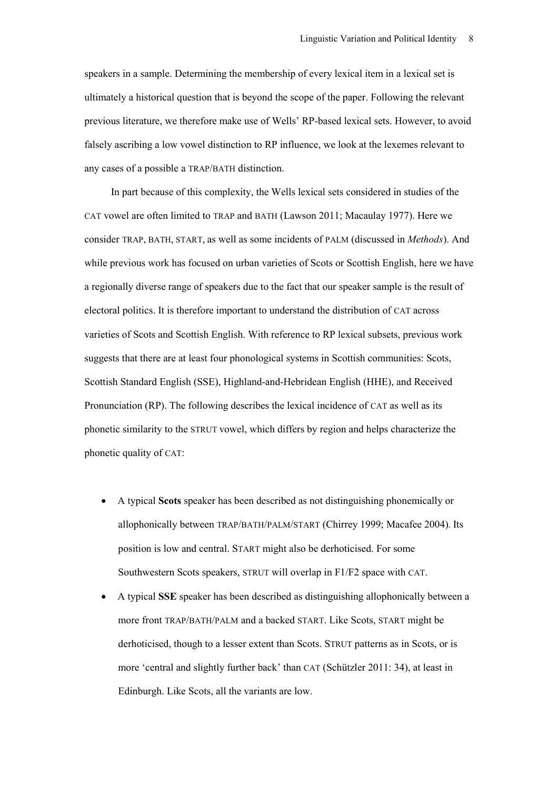speakers in a sample. Determining the membership of every lexical item in a lexical set is ultimately a historical question that is beyond the scope of the paper. Following the relevant previous literature, we therefore make use of Wells' RP-based lexical sets. However, to avoid falsely ascribing a low vowel distinction to RP influence, we look at the lexemes relevant to any cases of a possible a TRAP/BATH distinction.

In part because of this complexity, the Wells lexical sets considered in studies of the CAT vowel are often limited to TRAP and BATH (Lawson 2011; Macaulay 1977). Here we consider TRAP, BATH, START, as well as some incidents of PALM (discussed in *Methods*). And while previous work has focused on urban varieties of Scots or Scottish English, here we have a regionally diverse range of speakers due to the fact that our speaker sample is the result of electoral politics. It is therefore important to understand the distribution of CAT across varieties of Scots and Scottish English. With reference to RP lexical subsets, previous work suggests that there are at least four phonological systems in Scottish communities: Scots, Scottish Standard English (SSE), Highland-and-Hebridean English (HHE), and Received Pronunciation (RP). The following describes the lexical incidence of CAT as well as its phonetic similarity to the STRUT vowel, which differs by region and helps characterize the phonetic quality of CAT:

- A typical **Scots** speaker has been described as not distinguishing phonemically or allophonically between TRAP/BATH/PALM/START (Chirrey 1999; Macafee 2004)*.* Its position is low and central. START might also be derhoticised. For some Southwestern Scots speakers, STRUT will overlap in F1/F2 space with CAT.
- A typical **SSE** speaker has been described as distinguishing allophonically between a more front TRAP/BATH/PALM and a backed START. Like Scots, START might be derhoticised, though to a lesser extent than Scots. STRUT patterns as in Scots, or is more 'central and slightly further back' than CAT (Schützler 2011: 34), at least in Edinburgh. Like Scots, all the variants are low.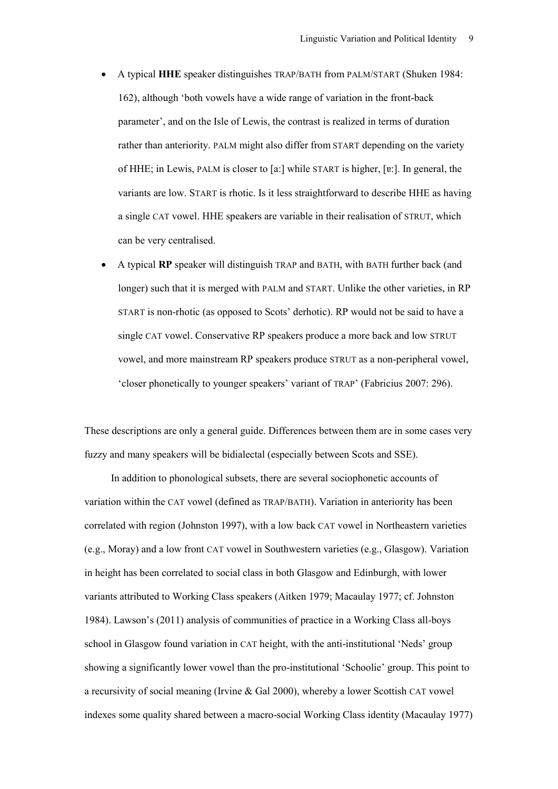- A typical **HHE** speaker distinguishes TRAP/BATH from PALM/START (Shuken 1984: 162), although 'both vowels have a wide range of variation in the front-back parameter', and on the Isle of Lewis, the contrast is realized in terms of duration rather than anteriority. PALM might also differ from START depending on the variety of HHE; in Lewis, PALM is closer to [a:] while START is higher, [ɐ:]. In general, the variants are low. START is rhotic. Is it less straightforward to describe HHE as having a single CAT vowel. HHE speakers are variable in their realisation of STRUT, which can be very centralised.
- A typical **RP** speaker will distinguish TRAP and BATH, with BATH further back (and longer) such that it is merged with PALM and START. Unlike the other varieties, in RP START is non-rhotic (as opposed to Scots' derhotic). RP would not be said to have a single CAT vowel. Conservative RP speakers produce a more back and low STRUT vowel, and more mainstream RP speakers produce STRUT as a non-peripheral vowel, 'closer phonetically to younger speakers' variant of TRAP' (Fabricius 2007: 296).

These descriptions are only a general guide. Differences between them are in some cases very fuzzy and many speakers will be bidialectal (especially between Scots and SSE).

In addition to phonological subsets, there are several sociophonetic accounts of variation within the CAT vowel (defined as TRAP/BATH). Variation in anteriority has been correlated with region (Johnston 1997), with a low back CAT vowel in Northeastern varieties (e.g., Moray) and a low front CAT vowel in Southwestern varieties (e.g., Glasgow). Variation in height has been correlated to social class in both Glasgow and Edinburgh, with lower variants attributed to Working Class speakers (Aitken 1979; Macaulay 1977; cf. Johnston 1984). Lawson's (2011) analysis of communities of practice in a Working Class all-boys school in Glasgow found variation in CAT height, with the anti-institutional 'Neds' group showing a significantly lower vowel than the pro-institutional 'Schoolie' group. This point to a recursivity of social meaning (Irvine & Gal 2000), whereby a lower Scottish CAT vowel indexes some quality shared between a macro-social Working Class identity (Macaulay 1977)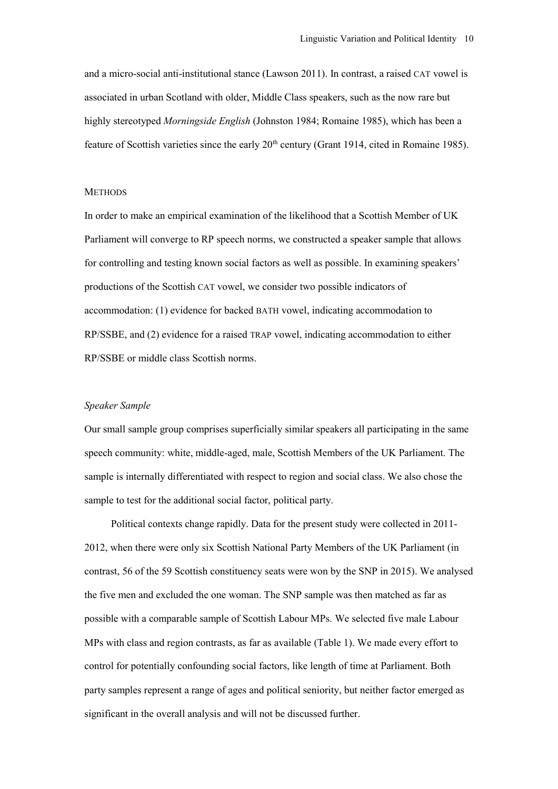and a micro-social anti-institutional stance (Lawson 2011). In contrast, a raised CAT vowel is associated in urban Scotland with older, Middle Class speakers, such as the now rare but highly stereotyped *Morningside English* (Johnston 1984; Romaine 1985), which has been a feature of Scottish varieties since the early 20<sup>th</sup> century (Grant 1914, cited in Romaine 1985).

#### **METHODS**

In order to make an empirical examination of the likelihood that a Scottish Member of UK Parliament will converge to RP speech norms, we constructed a speaker sample that allows for controlling and testing known social factors as well as possible. In examining speakers' productions of the Scottish CAT vowel, we consider two possible indicators of accommodation: (1) evidence for backed BATH vowel, indicating accommodation to RP/SSBE, and (2) evidence for a raised TRAP vowel, indicating accommodation to either RP/SSBE or middle class Scottish norms.

#### *Speaker Sample*

Our small sample group comprises superficially similar speakers all participating in the same speech community: white, middle-aged, male, Scottish Members of the UK Parliament. The sample is internally differentiated with respect to region and social class. We also chose the sample to test for the additional social factor, political party.

Political contexts change rapidly. Data for the present study were collected in 2011- 2012, when there were only six Scottish National Party Members of the UK Parliament (in contrast, 56 of the 59 Scottish constituency seats were won by the SNP in 2015). We analysed the five men and excluded the one woman. The SNP sample was then matched as far as possible with a comparable sample of Scottish Labour MPs. We selected five male Labour MPs with class and region contrasts, as far as available (Table 1). We made every effort to control for potentially confounding social factors, like length of time at Parliament. Both party samples represent a range of ages and political seniority, but neither factor emerged as significant in the overall analysis and will not be discussed further.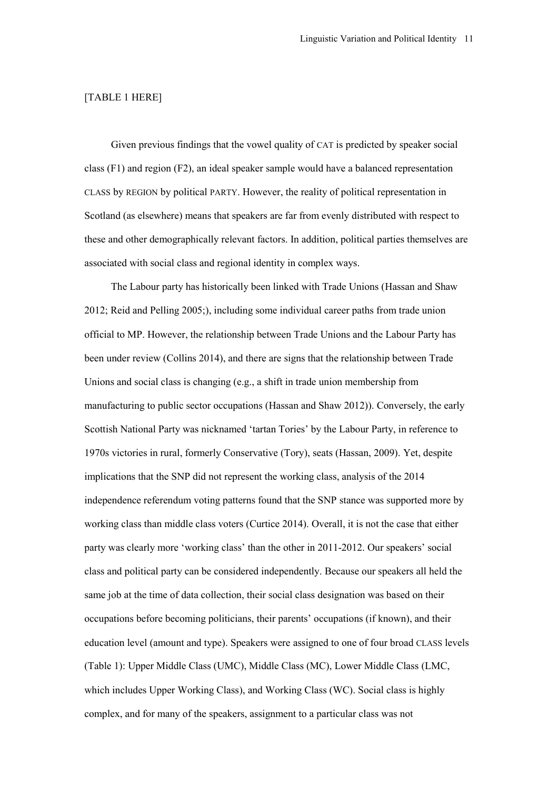# [TABLE 1 HERE]

Given previous findings that the vowel quality of CAT is predicted by speaker social class (F1) and region (F2), an ideal speaker sample would have a balanced representation CLASS by REGION by political PARTY. However, the reality of political representation in Scotland (as elsewhere) means that speakers are far from evenly distributed with respect to these and other demographically relevant factors. In addition, political parties themselves are associated with social class and regional identity in complex ways.

The Labour party has historically been linked with Trade Unions (Hassan and Shaw 2012; Reid and Pelling 2005;), including some individual career paths from trade union official to MP. However, the relationship between Trade Unions and the Labour Party has been under review (Collins 2014), and there are signs that the relationship between Trade Unions and social class is changing (e.g., a shift in trade union membership from manufacturing to public sector occupations (Hassan and Shaw 2012)). Conversely, the early Scottish National Party was nicknamed 'tartan Tories' by the Labour Party, in reference to 1970s victories in rural, formerly Conservative (Tory), seats (Hassan, 2009). Yet, despite implications that the SNP did not represent the working class, analysis of the 2014 independence referendum voting patterns found that the SNP stance was supported more by working class than middle class voters (Curtice 2014). Overall, it is not the case that either party was clearly more 'working class' than the other in 2011-2012. Our speakers' social class and political party can be considered independently. Because our speakers all held the same job at the time of data collection, their social class designation was based on their occupations before becoming politicians, their parents' occupations (if known), and their education level (amount and type). Speakers were assigned to one of four broad CLASS levels (Table 1): Upper Middle Class (UMC), Middle Class (MC), Lower Middle Class (LMC, which includes Upper Working Class), and Working Class (WC). Social class is highly complex, and for many of the speakers, assignment to a particular class was not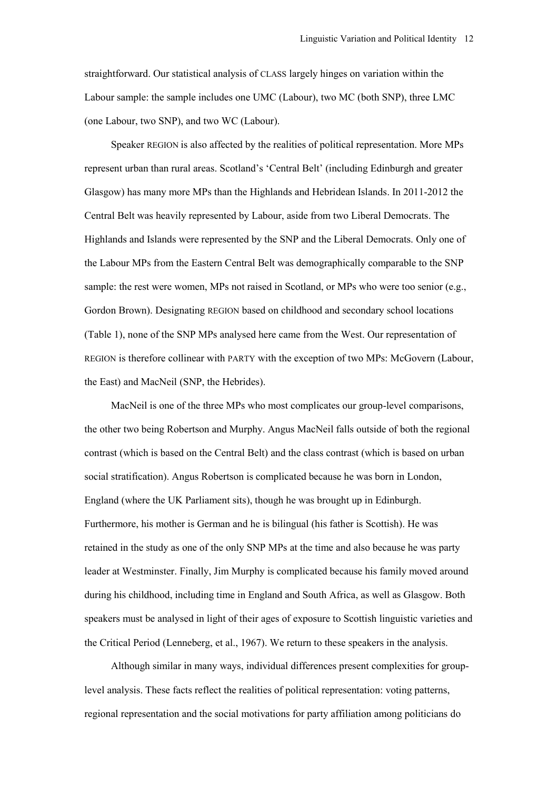straightforward. Our statistical analysis of CLASS largely hinges on variation within the Labour sample: the sample includes one UMC (Labour), two MC (both SNP), three LMC (one Labour, two SNP), and two WC (Labour).

Speaker REGION is also affected by the realities of political representation. More MPs represent urban than rural areas. Scotland's 'Central Belt' (including Edinburgh and greater Glasgow) has many more MPs than the Highlands and Hebridean Islands. In 2011-2012 the Central Belt was heavily represented by Labour, aside from two Liberal Democrats. The Highlands and Islands were represented by the SNP and the Liberal Democrats. Only one of the Labour MPs from the Eastern Central Belt was demographically comparable to the SNP sample: the rest were women, MPs not raised in Scotland, or MPs who were too senior (e.g., Gordon Brown). Designating REGION based on childhood and secondary school locations (Table 1), none of the SNP MPs analysed here came from the West. Our representation of REGION is therefore collinear with PARTY with the exception of two MPs: McGovern (Labour, the East) and MacNeil (SNP, the Hebrides).

MacNeil is one of the three MPs who most complicates our group-level comparisons, the other two being Robertson and Murphy. Angus MacNeil falls outside of both the regional contrast (which is based on the Central Belt) and the class contrast (which is based on urban social stratification). Angus Robertson is complicated because he was born in London, England (where the UK Parliament sits), though he was brought up in Edinburgh. Furthermore, his mother is German and he is bilingual (his father is Scottish). He was retained in the study as one of the only SNP MPs at the time and also because he was party leader at Westminster. Finally, Jim Murphy is complicated because his family moved around during his childhood, including time in England and South Africa, as well as Glasgow. Both speakers must be analysed in light of their ages of exposure to Scottish linguistic varieties and the Critical Period (Lenneberg, et al., 1967). We return to these speakers in the analysis.

Although similar in many ways, individual differences present complexities for grouplevel analysis. These facts reflect the realities of political representation: voting patterns, regional representation and the social motivations for party affiliation among politicians do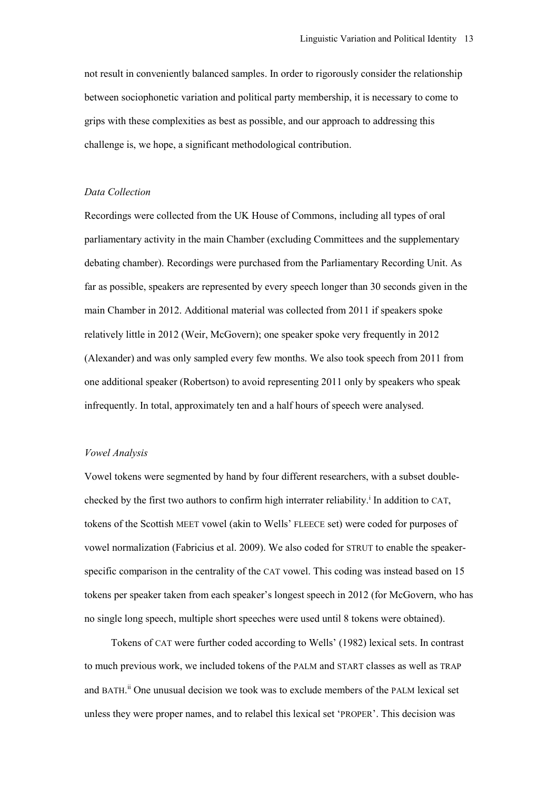not result in conveniently balanced samples. In order to rigorously consider the relationship between sociophonetic variation and political party membership, it is necessary to come to grips with these complexities as best as possible, and our approach to addressing this challenge is, we hope, a significant methodological contribution.

#### *Data Collection*

Recordings were collected from the UK House of Commons, including all types of oral parliamentary activity in the main Chamber (excluding Committees and the supplementary debating chamber). Recordings were purchased from the Parliamentary Recording Unit. As far as possible, speakers are represented by every speech longer than 30 seconds given in the main Chamber in 2012. Additional material was collected from 2011 if speakers spoke relatively little in 2012 (Weir, McGovern); one speaker spoke very frequently in 2012 (Alexander) and was only sampled every few months. We also took speech from 2011 from one additional speaker (Robertson) to avoid representing 2011 only by speakers who speak infrequently. In total, approximately ten and a half hours of speech were analysed.

### *Vowel Analysis*

Vowel tokens were segmented by hand by four different researchers, with a subset doublechecked by the first two authors to confirm high interrater reliability.<sup>i</sup> In addition to CAT, tokens of the Scottish MEET vowel (akin to Wells' FLEECE set) were coded for purposes of vowel normalization (Fabricius et al. 2009). We also coded for STRUT to enable the speakerspecific comparison in the centrality of the CAT vowel. This coding was instead based on 15 tokens per speaker taken from each speaker's longest speech in 2012 (for McGovern, who has no single long speech, multiple short speeches were used until 8 tokens were obtained).

Tokens of CAT were further coded according to Wells' (1982) lexical sets. In contrast to much previous work, we included tokens of the PALM and START classes as well as TRAP and BATH. ii One unusual decision we took was to exclude members of the PALM lexical set unless they were proper names, and to relabel this lexical set 'PROPER'. This decision was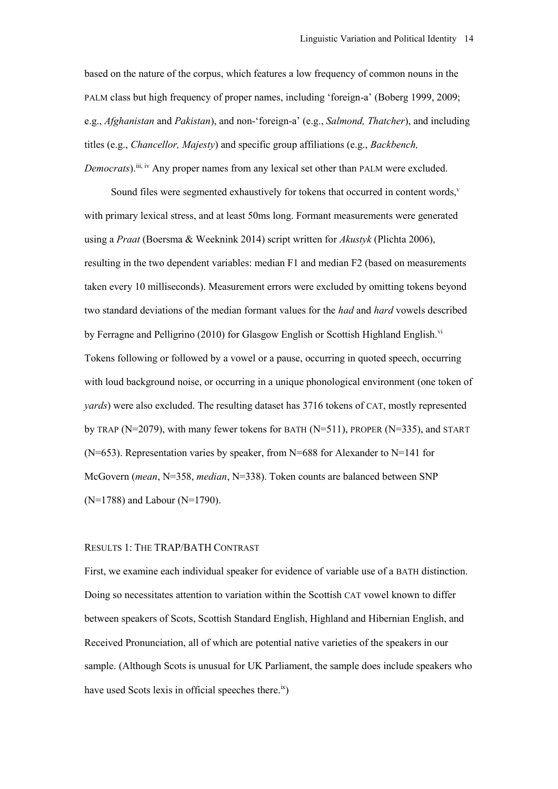based on the nature of the corpus, which features a low frequency of common nouns in the PALM class but high frequency of proper names, including 'foreign-a' (Boberg 1999, 2009; e.g., *Afghanistan* and *Pakistan*), and non-'foreign-a' (e.g., *Salmond, Thatcher*), and including titles (e.g., *Chancellor, Majesty*) and specific group affiliations (e.g., *Backbench, Democrats*).<sup>iii, iv</sup> Any proper names from any lexical set other than PALM were excluded.

Sound files were segmented exhaustively for tokens that occurred in content words, $v$ with primary lexical stress, and at least 50ms long. Formant measurements were generated using a *Praat* (Boersma & Weeknink 2014) script written for *Akustyk* (Plichta 2006), resulting in the two dependent variables: median F1 and median F2 (based on measurements taken every 10 milliseconds). Measurement errors were excluded by omitting tokens beyond two standard deviations of the median formant values for the *had* and *hard* vowels described by Ferragne and Pelligrino (2010) for Glasgow English or Scottish Highland English.<sup>vi</sup> Tokens following or followed by a vowel or a pause, occurring in quoted speech, occurring with loud background noise, or occurring in a unique phonological environment (one token of *yards*) were also excluded. The resulting dataset has 3716 tokens of CAT, mostly represented by TRAP ( $N=2079$ ), with many fewer tokens for BATH ( $N=511$ ), PROPER ( $N=335$ ), and START (N=653). Representation varies by speaker, from N=688 for Alexander to N=141 for McGovern (*mean*, N=358, *median*, N=338). Token counts are balanced between SNP (N=1788) and Labour (N=1790).

# RESULTS 1: THE TRAP/BATH CONTRAST

First, we examine each individual speaker for evidence of variable use of a BATH distinction. Doing so necessitates attention to variation within the Scottish CAT vowel known to differ between speakers of Scots, Scottish Standard English, Highland and Hibernian English, and Received Pronunciation, all of which are potential native varieties of the speakers in our sample. (Although Scots is unusual for UK Parliament, the sample does include speakers who have used Scots lexis in official speeches there.<sup>ix</sup>)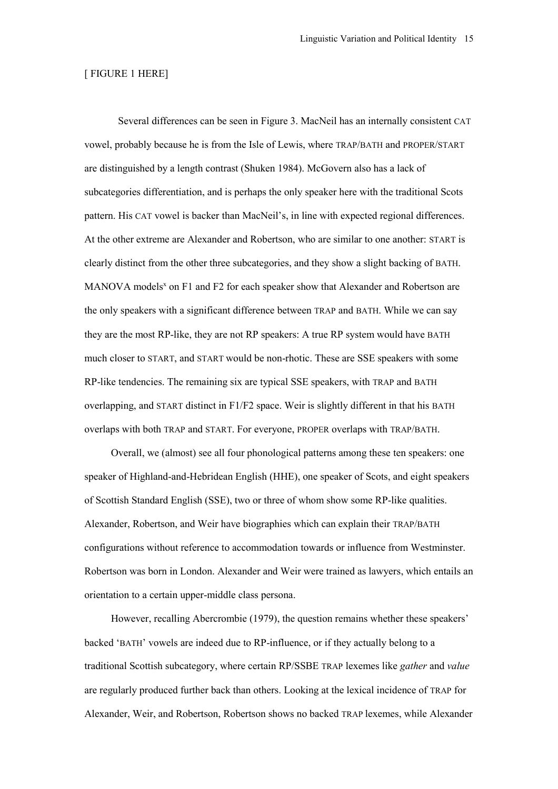# [ FIGURE 1 HERE]

Several differences can be seen in Figure 3. MacNeil has an internally consistent CAT vowel, probably because he is from the Isle of Lewis, where TRAP/BATH and PROPER/START are distinguished by a length contrast (Shuken 1984). McGovern also has a lack of subcategories differentiation, and is perhaps the only speaker here with the traditional Scots pattern. His CAT vowel is backer than MacNeil's, in line with expected regional differences. At the other extreme are Alexander and Robertson, who are similar to one another: START is clearly distinct from the other three subcategories, and they show a slight backing of BATH. MANOVA models<sup>x</sup> on F1 and F2 for each speaker show that Alexander and Robertson are the only speakers with a significant difference between TRAP and BATH. While we can say they are the most RP-like, they are not RP speakers: A true RP system would have BATH much closer to START, and START would be non-rhotic. These are SSE speakers with some RP-like tendencies. The remaining six are typical SSE speakers, with TRAP and BATH overlapping, and START distinct in F1/F2 space. Weir is slightly different in that his BATH overlaps with both TRAP and START. For everyone, PROPER overlaps with TRAP/BATH.

Overall, we (almost) see all four phonological patterns among these ten speakers: one speaker of Highland-and-Hebridean English (HHE), one speaker of Scots, and eight speakers of Scottish Standard English (SSE), two or three of whom show some RP-like qualities. Alexander, Robertson, and Weir have biographies which can explain their TRAP/BATH configurations without reference to accommodation towards or influence from Westminster. Robertson was born in London. Alexander and Weir were trained as lawyers, which entails an orientation to a certain upper-middle class persona.

However, recalling Abercrombie (1979), the question remains whether these speakers' backed 'BATH' vowels are indeed due to RP-influence, or if they actually belong to a traditional Scottish subcategory, where certain RP/SSBE TRAP lexemes like *gather* and *value* are regularly produced further back than others. Looking at the lexical incidence of TRAP for Alexander, Weir, and Robertson, Robertson shows no backed TRAP lexemes, while Alexander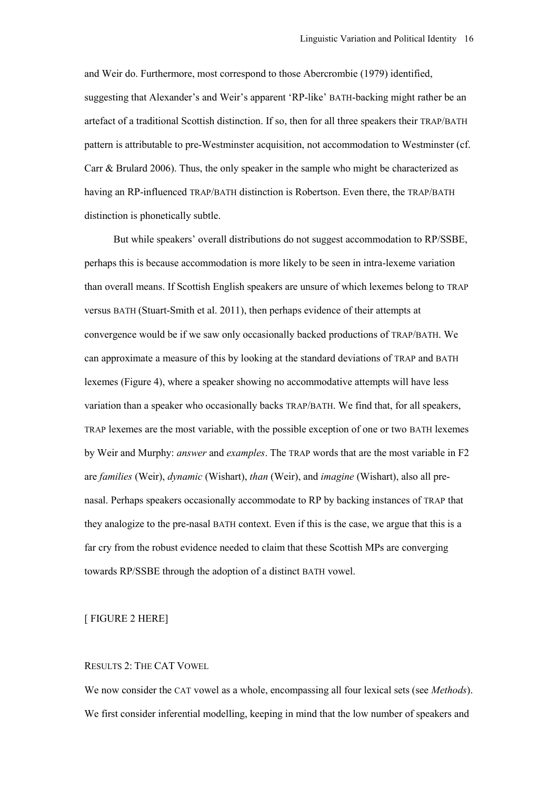and Weir do. Furthermore, most correspond to those Abercrombie (1979) identified, suggesting that Alexander's and Weir's apparent 'RP-like' BATH-backing might rather be an artefact of a traditional Scottish distinction. If so, then for all three speakers their TRAP/BATH pattern is attributable to pre-Westminster acquisition, not accommodation to Westminster (cf. Carr  $\&$  Brulard 2006). Thus, the only speaker in the sample who might be characterized as having an RP-influenced TRAP/BATH distinction is Robertson. Even there, the TRAP/BATH distinction is phonetically subtle.

But while speakers' overall distributions do not suggest accommodation to RP/SSBE, perhaps this is because accommodation is more likely to be seen in intra-lexeme variation than overall means. If Scottish English speakers are unsure of which lexemes belong to TRAP versus BATH (Stuart-Smith et al. 2011), then perhaps evidence of their attempts at convergence would be if we saw only occasionally backed productions of TRAP/BATH. We can approximate a measure of this by looking at the standard deviations of TRAP and BATH lexemes (Figure 4), where a speaker showing no accommodative attempts will have less variation than a speaker who occasionally backs TRAP/BATH. We find that, for all speakers, TRAP lexemes are the most variable, with the possible exception of one or two BATH lexemes by Weir and Murphy: *answer* and *examples*. The TRAP words that are the most variable in F2 are *families* (Weir), *dynamic* (Wishart), *than* (Weir), and *imagine* (Wishart), also all prenasal. Perhaps speakers occasionally accommodate to RP by backing instances of TRAP that they analogize to the pre-nasal BATH context. Even if this is the case, we argue that this is a far cry from the robust evidence needed to claim that these Scottish MPs are converging towards RP/SSBE through the adoption of a distinct BATH vowel.

# [ FIGURE 2 HERE]

# RESULTS 2: THE CAT VOWEL

We now consider the CAT vowel as a whole, encompassing all four lexical sets (see *Methods*). We first consider inferential modelling, keeping in mind that the low number of speakers and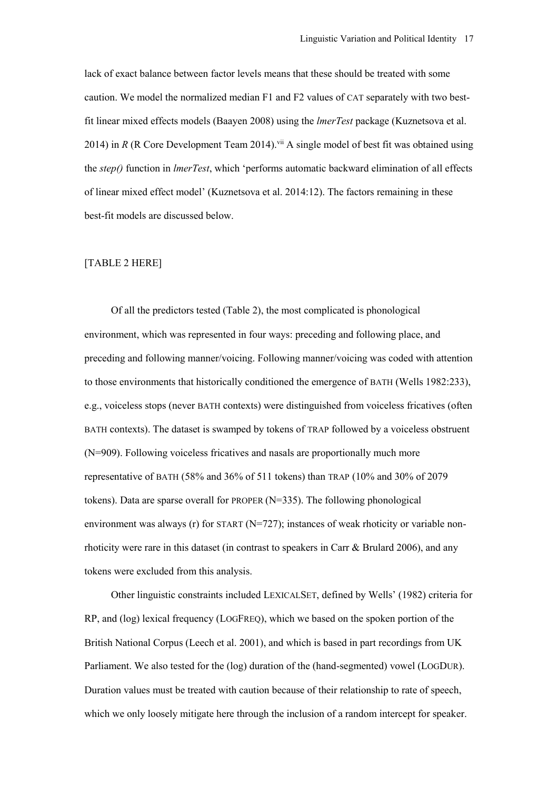lack of exact balance between factor levels means that these should be treated with some caution. We model the normalized median F1 and F2 values of CAT separately with two bestfit linear mixed effects models (Baayen 2008) using the *lmerTest* package (Kuznetsova et al. 2014) in *R* (R Core Development Team 2014).<sup>vii</sup> A single model of best fit was obtained using the *step()* function in *lmerTest*, which 'performs automatic backward elimination of all effects of linear mixed effect model' (Kuznetsova et al. 2014:12). The factors remaining in these best-fit models are discussed below.

# [TABLE 2 HERE]

Of all the predictors tested (Table 2), the most complicated is phonological environment, which was represented in four ways: preceding and following place, and preceding and following manner/voicing. Following manner/voicing was coded with attention to those environments that historically conditioned the emergence of BATH (Wells 1982:233), e.g., voiceless stops (never BATH contexts) were distinguished from voiceless fricatives (often BATH contexts). The dataset is swamped by tokens of TRAP followed by a voiceless obstruent (N=909). Following voiceless fricatives and nasals are proportionally much more representative of BATH (58% and 36% of 511 tokens) than TRAP (10% and 30% of 2079 tokens). Data are sparse overall for PROPER (N=335). The following phonological environment was always (r) for START ( $N=727$ ); instances of weak rhoticity or variable nonrhoticity were rare in this dataset (in contrast to speakers in Carr & Brulard 2006), and any tokens were excluded from this analysis.

Other linguistic constraints included LEXICALSET, defined by Wells' (1982) criteria for RP, and (log) lexical frequency (LOGFREQ), which we based on the spoken portion of the British National Corpus (Leech et al. 2001), and which is based in part recordings from UK Parliament. We also tested for the (log) duration of the (hand-segmented) vowel (LOGDUR). Duration values must be treated with caution because of their relationship to rate of speech, which we only loosely mitigate here through the inclusion of a random intercept for speaker.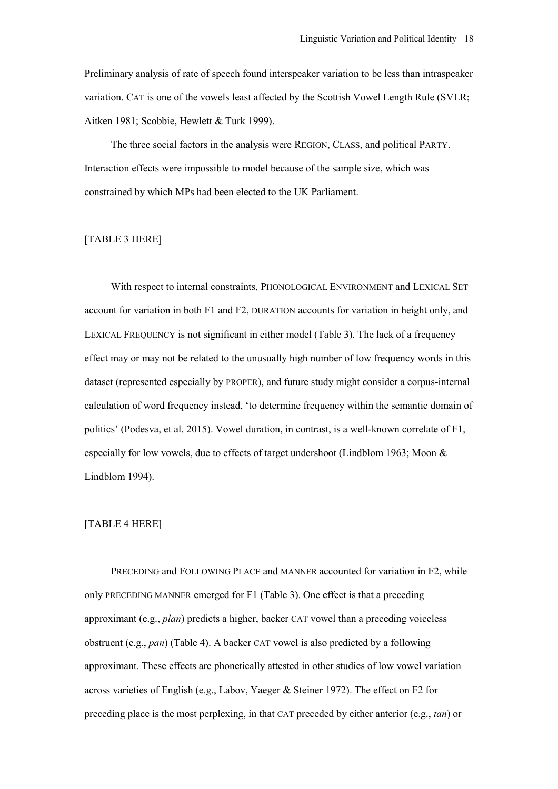Preliminary analysis of rate of speech found interspeaker variation to be less than intraspeaker variation. CAT is one of the vowels least affected by the Scottish Vowel Length Rule (SVLR; Aitken 1981; Scobbie, Hewlett & Turk 1999).

The three social factors in the analysis were REGION, CLASS, and political PARTY. Interaction effects were impossible to model because of the sample size, which was constrained by which MPs had been elected to the UK Parliament.

# [TABLE 3 HERE]

With respect to internal constraints, PHONOLOGICAL ENVIRONMENT and LEXICAL SET account for variation in both F1 and F2, DURATION accounts for variation in height only, and LEXICAL FREQUENCY is not significant in either model (Table 3). The lack of a frequency effect may or may not be related to the unusually high number of low frequency words in this dataset (represented especially by PROPER), and future study might consider a corpus-internal calculation of word frequency instead, 'to determine frequency within the semantic domain of politics' (Podesva, et al. 2015). Vowel duration, in contrast, is a well-known correlate of F1, especially for low vowels, due to effects of target undershoot (Lindblom 1963; Moon & Lindblom 1994).

### [TABLE 4 HERE]

PRECEDING and FOLLOWING PLACE and MANNER accounted for variation in F2, while only PRECEDING MANNER emerged for F1 (Table 3). One effect is that a preceding approximant (e.g., *plan*) predicts a higher, backer CAT vowel than a preceding voiceless obstruent (e.g., *pan*) (Table 4). A backer CAT vowel is also predicted by a following approximant. These effects are phonetically attested in other studies of low vowel variation across varieties of English (e.g., Labov, Yaeger & Steiner 1972). The effect on F2 for preceding place is the most perplexing, in that CAT preceded by either anterior (e.g., *tan*) or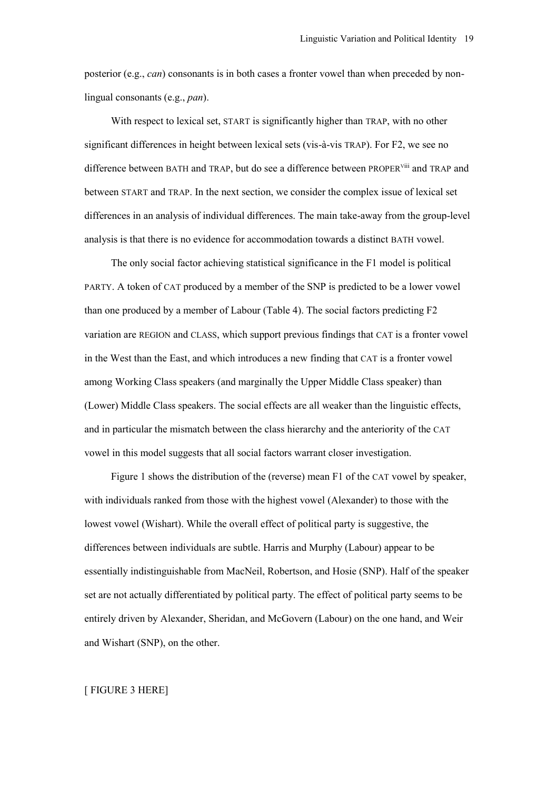posterior (e.g., *can*) consonants is in both cases a fronter vowel than when preceded by nonlingual consonants (e.g., *pan*).

With respect to lexical set, START is significantly higher than TRAP, with no other significant differences in height between lexical sets (vis-à-vis TRAP). For F2, we see no difference between BATH and TRAP, but do see a difference between PROPER<sup>Viii</sup> and TRAP and between START and TRAP. In the next section, we consider the complex issue of lexical set differences in an analysis of individual differences. The main take-away from the group-level analysis is that there is no evidence for accommodation towards a distinct BATH vowel.

The only social factor achieving statistical significance in the F1 model is political PARTY. A token of CAT produced by a member of the SNP is predicted to be a lower vowel than one produced by a member of Labour (Table 4). The social factors predicting F2 variation are REGION and CLASS, which support previous findings that CAT is a fronter vowel in the West than the East, and which introduces a new finding that CAT is a fronter vowel among Working Class speakers (and marginally the Upper Middle Class speaker) than (Lower) Middle Class speakers. The social effects are all weaker than the linguistic effects, and in particular the mismatch between the class hierarchy and the anteriority of the CAT vowel in this model suggests that all social factors warrant closer investigation.

Figure 1 shows the distribution of the (reverse) mean F1 of the CAT vowel by speaker, with individuals ranked from those with the highest vowel (Alexander) to those with the lowest vowel (Wishart). While the overall effect of political party is suggestive, the differences between individuals are subtle. Harris and Murphy (Labour) appear to be essentially indistinguishable from MacNeil, Robertson, and Hosie (SNP). Half of the speaker set are not actually differentiated by political party. The effect of political party seems to be entirely driven by Alexander, Sheridan, and McGovern (Labour) on the one hand, and Weir and Wishart (SNP), on the other.

#### [ FIGURE 3 HERE]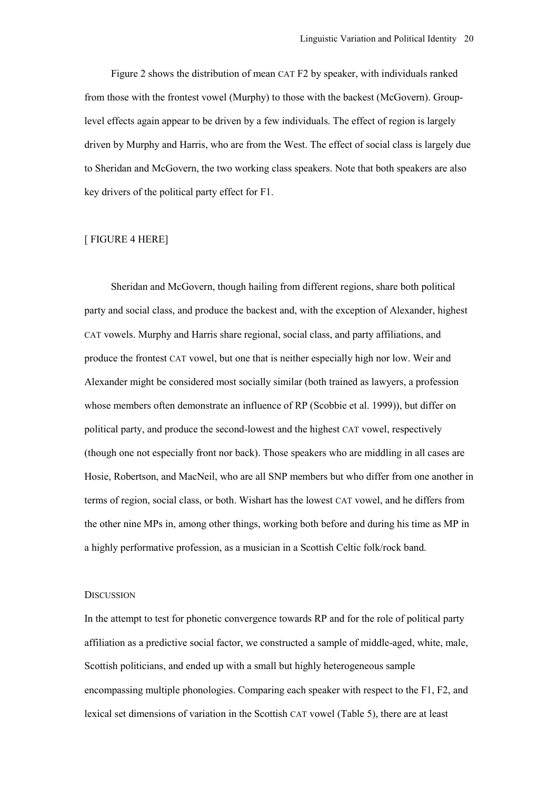Figure 2 shows the distribution of mean CAT F2 by speaker, with individuals ranked from those with the frontest vowel (Murphy) to those with the backest (McGovern). Grouplevel effects again appear to be driven by a few individuals. The effect of region is largely driven by Murphy and Harris, who are from the West. The effect of social class is largely due to Sheridan and McGovern, the two working class speakers. Note that both speakers are also key drivers of the political party effect for F1.

# [ FIGURE 4 HERE]

Sheridan and McGovern, though hailing from different regions, share both political party and social class, and produce the backest and, with the exception of Alexander, highest CAT vowels. Murphy and Harris share regional, social class, and party affiliations, and produce the frontest CAT vowel, but one that is neither especially high nor low. Weir and Alexander might be considered most socially similar (both trained as lawyers, a profession whose members often demonstrate an influence of RP (Scobbie et al. 1999)), but differ on political party, and produce the second-lowest and the highest CAT vowel, respectively (though one not especially front nor back). Those speakers who are middling in all cases are Hosie, Robertson, and MacNeil, who are all SNP members but who differ from one another in terms of region, social class, or both. Wishart has the lowest CAT vowel, and he differs from the other nine MPs in, among other things, working both before and during his time as MP in a highly performative profession, as a musician in a Scottish Celtic folk/rock band.

### **DISCUSSION**

In the attempt to test for phonetic convergence towards RP and for the role of political party affiliation as a predictive social factor, we constructed a sample of middle-aged, white, male, Scottish politicians, and ended up with a small but highly heterogeneous sample encompassing multiple phonologies. Comparing each speaker with respect to the F1, F2, and lexical set dimensions of variation in the Scottish CAT vowel (Table 5), there are at least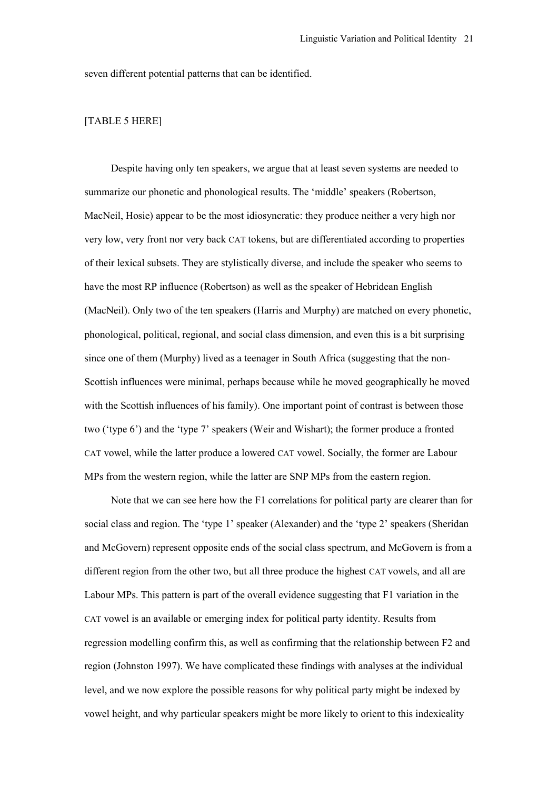seven different potential patterns that can be identified.

# [TABLE 5 HERE]

Despite having only ten speakers, we argue that at least seven systems are needed to summarize our phonetic and phonological results. The 'middle' speakers (Robertson, MacNeil, Hosie) appear to be the most idiosyncratic: they produce neither a very high nor very low, very front nor very back CAT tokens, but are differentiated according to properties of their lexical subsets. They are stylistically diverse, and include the speaker who seems to have the most RP influence (Robertson) as well as the speaker of Hebridean English (MacNeil). Only two of the ten speakers (Harris and Murphy) are matched on every phonetic, phonological, political, regional, and social class dimension, and even this is a bit surprising since one of them (Murphy) lived as a teenager in South Africa (suggesting that the non-Scottish influences were minimal, perhaps because while he moved geographically he moved with the Scottish influences of his family). One important point of contrast is between those two ('type 6') and the 'type 7' speakers (Weir and Wishart); the former produce a fronted CAT vowel, while the latter produce a lowered CAT vowel. Socially, the former are Labour MPs from the western region, while the latter are SNP MPs from the eastern region.

Note that we can see here how the F1 correlations for political party are clearer than for social class and region. The 'type 1' speaker (Alexander) and the 'type 2' speakers (Sheridan and McGovern) represent opposite ends of the social class spectrum, and McGovern is from a different region from the other two, but all three produce the highest CAT vowels, and all are Labour MPs. This pattern is part of the overall evidence suggesting that F1 variation in the CAT vowel is an available or emerging index for political party identity. Results from regression modelling confirm this, as well as confirming that the relationship between F2 and region (Johnston 1997). We have complicated these findings with analyses at the individual level, and we now explore the possible reasons for why political party might be indexed by vowel height, and why particular speakers might be more likely to orient to this indexicality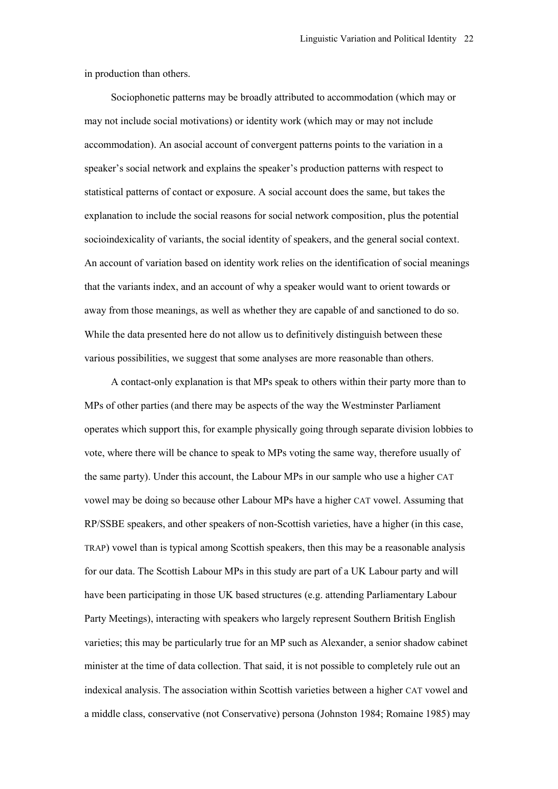in production than others.

Sociophonetic patterns may be broadly attributed to accommodation (which may or may not include social motivations) or identity work (which may or may not include accommodation). An asocial account of convergent patterns points to the variation in a speaker's social network and explains the speaker's production patterns with respect to statistical patterns of contact or exposure. A social account does the same, but takes the explanation to include the social reasons for social network composition, plus the potential socioindexicality of variants, the social identity of speakers, and the general social context. An account of variation based on identity work relies on the identification of social meanings that the variants index, and an account of why a speaker would want to orient towards or away from those meanings, as well as whether they are capable of and sanctioned to do so. While the data presented here do not allow us to definitively distinguish between these various possibilities, we suggest that some analyses are more reasonable than others.

A contact-only explanation is that MPs speak to others within their party more than to MPs of other parties (and there may be aspects of the way the Westminster Parliament operates which support this, for example physically going through separate division lobbies to vote, where there will be chance to speak to MPs voting the same way, therefore usually of the same party). Under this account, the Labour MPs in our sample who use a higher CAT vowel may be doing so because other Labour MPs have a higher CAT vowel. Assuming that RP/SSBE speakers, and other speakers of non-Scottish varieties, have a higher (in this case, TRAP) vowel than is typical among Scottish speakers, then this may be a reasonable analysis for our data. The Scottish Labour MPs in this study are part of a UK Labour party and will have been participating in those UK based structures (e.g. attending Parliamentary Labour Party Meetings), interacting with speakers who largely represent Southern British English varieties; this may be particularly true for an MP such as Alexander, a senior shadow cabinet minister at the time of data collection. That said, it is not possible to completely rule out an indexical analysis. The association within Scottish varieties between a higher CAT vowel and a middle class, conservative (not Conservative) persona (Johnston 1984; Romaine 1985) may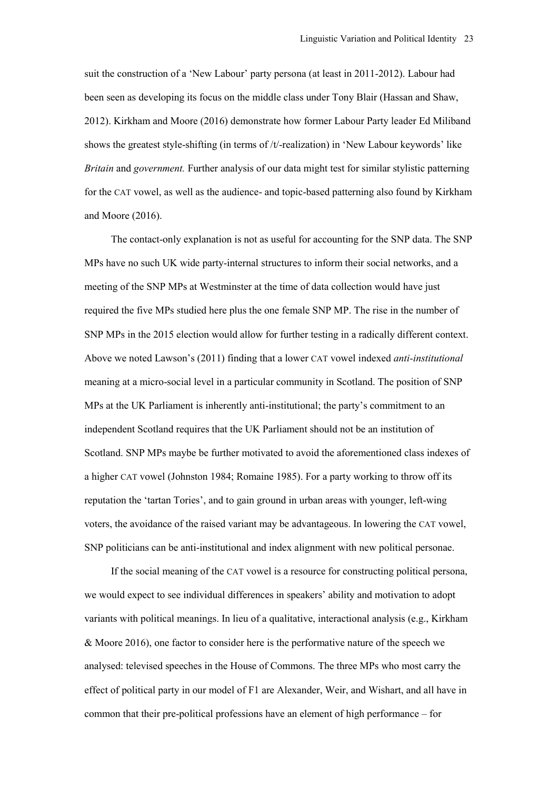suit the construction of a 'New Labour' party persona (at least in 2011-2012). Labour had been seen as developing its focus on the middle class under Tony Blair (Hassan and Shaw, 2012). Kirkham and Moore (2016) demonstrate how former Labour Party leader Ed Miliband shows the greatest style-shifting (in terms of /t/-realization) in 'New Labour keywords' like *Britain* and *government.* Further analysis of our data might test for similar stylistic patterning for the CAT vowel, as well as the audience- and topic-based patterning also found by Kirkham and Moore (2016).

The contact-only explanation is not as useful for accounting for the SNP data. The SNP MPs have no such UK wide party-internal structures to inform their social networks, and a meeting of the SNP MPs at Westminster at the time of data collection would have just required the five MPs studied here plus the one female SNP MP. The rise in the number of SNP MPs in the 2015 election would allow for further testing in a radically different context. Above we noted Lawson's (2011) finding that a lower CAT vowel indexed *anti-institutional*  meaning at a micro-social level in a particular community in Scotland. The position of SNP MPs at the UK Parliament is inherently anti-institutional; the party's commitment to an independent Scotland requires that the UK Parliament should not be an institution of Scotland. SNP MPs maybe be further motivated to avoid the aforementioned class indexes of a higher CAT vowel (Johnston 1984; Romaine 1985). For a party working to throw off its reputation the 'tartan Tories', and to gain ground in urban areas with younger, left-wing voters, the avoidance of the raised variant may be advantageous. In lowering the CAT vowel, SNP politicians can be anti-institutional and index alignment with new political personae.

If the social meaning of the CAT vowel is a resource for constructing political persona, we would expect to see individual differences in speakers' ability and motivation to adopt variants with political meanings. In lieu of a qualitative, interactional analysis (e.g., Kirkham & Moore 2016), one factor to consider here is the performative nature of the speech we analysed: televised speeches in the House of Commons. The three MPs who most carry the effect of political party in our model of F1 are Alexander, Weir, and Wishart, and all have in common that their pre-political professions have an element of high performance – for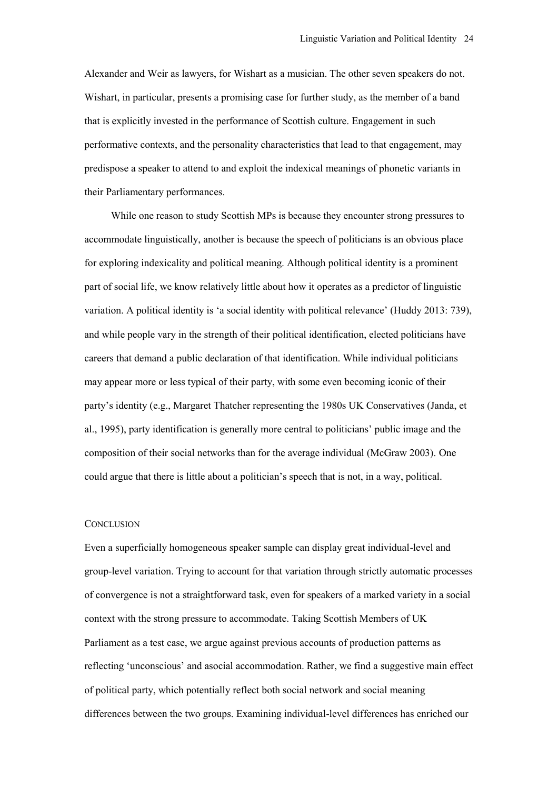Alexander and Weir as lawyers, for Wishart as a musician. The other seven speakers do not. Wishart, in particular, presents a promising case for further study, as the member of a band that is explicitly invested in the performance of Scottish culture. Engagement in such performative contexts, and the personality characteristics that lead to that engagement, may predispose a speaker to attend to and exploit the indexical meanings of phonetic variants in their Parliamentary performances.

While one reason to study Scottish MPs is because they encounter strong pressures to accommodate linguistically, another is because the speech of politicians is an obvious place for exploring indexicality and political meaning. Although political identity is a prominent part of social life, we know relatively little about how it operates as a predictor of linguistic variation. A political identity is 'a social identity with political relevance' (Huddy 2013: 739), and while people vary in the strength of their political identification, elected politicians have careers that demand a public declaration of that identification. While individual politicians may appear more or less typical of their party, with some even becoming iconic of their party's identity (e.g., Margaret Thatcher representing the 1980s UK Conservatives (Janda, et al., 1995), party identification is generally more central to politicians' public image and the composition of their social networks than for the average individual (McGraw 2003). One could argue that there is little about a politician's speech that is not, in a way, political.

#### **CONCLUSION**

Even a superficially homogeneous speaker sample can display great individual-level and group-level variation. Trying to account for that variation through strictly automatic processes of convergence is not a straightforward task, even for speakers of a marked variety in a social context with the strong pressure to accommodate. Taking Scottish Members of UK Parliament as a test case, we argue against previous accounts of production patterns as reflecting 'unconscious' and asocial accommodation. Rather, we find a suggestive main effect of political party, which potentially reflect both social network and social meaning differences between the two groups. Examining individual-level differences has enriched our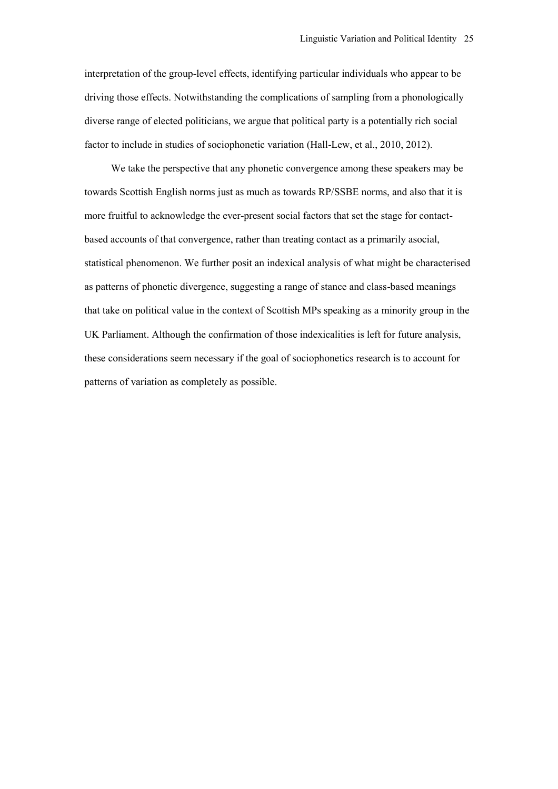interpretation of the group-level effects, identifying particular individuals who appear to be driving those effects. Notwithstanding the complications of sampling from a phonologically diverse range of elected politicians, we argue that political party is a potentially rich social factor to include in studies of sociophonetic variation (Hall-Lew, et al., 2010, 2012).

We take the perspective that any phonetic convergence among these speakers may be towards Scottish English norms just as much as towards RP/SSBE norms, and also that it is more fruitful to acknowledge the ever-present social factors that set the stage for contactbased accounts of that convergence, rather than treating contact as a primarily asocial, statistical phenomenon. We further posit an indexical analysis of what might be characterised as patterns of phonetic divergence, suggesting a range of stance and class-based meanings that take on political value in the context of Scottish MPs speaking as a minority group in the UK Parliament. Although the confirmation of those indexicalities is left for future analysis, these considerations seem necessary if the goal of sociophonetics research is to account for patterns of variation as completely as possible.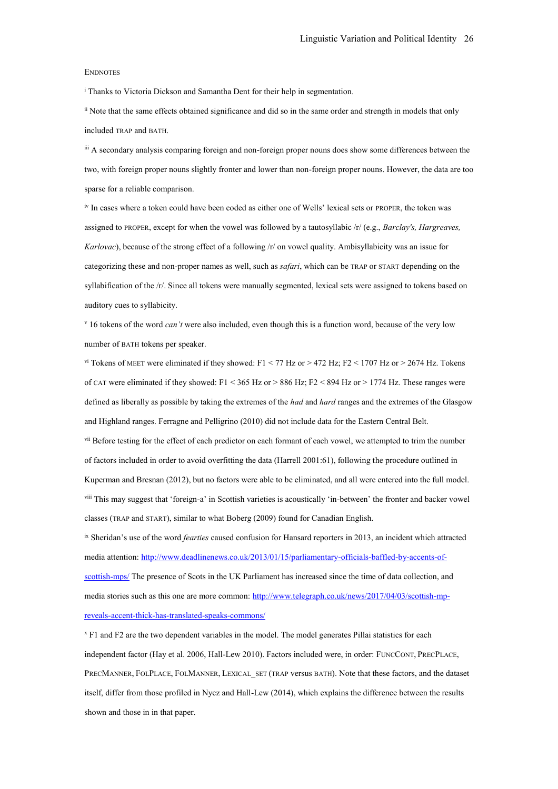#### ENDNOTES

<sup>i</sup> Thanks to Victoria Dickson and Samantha Dent for their help in segmentation.

ii Note that the same effects obtained significance and did so in the same order and strength in models that only included TRAP and BATH.

iii A secondary analysis comparing foreign and non-foreign proper nouns does show some differences between the two, with foreign proper nouns slightly fronter and lower than non-foreign proper nouns. However, the data are too sparse for a reliable comparison.

iv In cases where a token could have been coded as either one of Wells' lexical sets or PROPER, the token was assigned to PROPER, except for when the vowel was followed by a tautosyllabic /r/ (e.g., *Barclay's, Hargreaves, Karlovac*), because of the strong effect of a following /r/ on vowel quality. Ambisyllabicity was an issue for categorizing these and non-proper names as well, such as *safari*, which can be TRAP or START depending on the syllabification of the /r/. Since all tokens were manually segmented, lexical sets were assigned to tokens based on auditory cues to syllabicity.

<sup>v</sup> 16 tokens of the word *can't* were also included, even though this is a function word, because of the very low number of BATH tokens per speaker.

vi Tokens of MEET were eliminated if they showed: F1 < 77 Hz or > 472 Hz; F2 < 1707 Hz or > 2674 Hz. Tokens of CAT were eliminated if they showed: F1 < 365 Hz or > 886 Hz; F2 < 894 Hz or > 1774 Hz. These ranges were defined as liberally as possible by taking the extremes of the *had* and *hard* ranges and the extremes of the Glasgow and Highland ranges. Ferragne and Pelligrino (2010) did not include data for the Eastern Central Belt. <sup>vii</sup> Before testing for the effect of each predictor on each formant of each vowel, we attempted to trim the number of factors included in order to avoid overfitting the data (Harrell 2001:61), following the procedure outlined in Kuperman and Bresnan (2012), but no factors were able to be eliminated, and all were entered into the full model. viii This may suggest that 'foreign-a' in Scottish varieties is acoustically 'in-between' the fronter and backer vowel classes (TRAP and START), similar to what Boberg (2009) found for Canadian English.

ix Sheridan's use of the word *fearties* caused confusion for Hansard reporters in 2013, an incident which attracted media attention[: http://www.deadlinenews.co.uk/2013/01/15/parliamentary-officials-baffled-by-accents-of](http://www.deadlinenews.co.uk/2013/01/15/parliamentary-officials-baffled-by-accents-of-scottish-mps/)[scottish-mps/](http://www.deadlinenews.co.uk/2013/01/15/parliamentary-officials-baffled-by-accents-of-scottish-mps/) The presence of Scots in the UK Parliament has increased since the time of data collection, and media stories such as this one are more common: [http://www.telegraph.co.uk/news/2017/04/03/scottish-mp](http://www.telegraph.co.uk/news/2017/04/03/scottish-mp-reveals-accent-thick-has-translated-speaks-commons/)[reveals-accent-thick-has-translated-speaks-commons/](http://www.telegraph.co.uk/news/2017/04/03/scottish-mp-reveals-accent-thick-has-translated-speaks-commons/)

<sup>x</sup> F1 and F2 are the two dependent variables in the model. The model generates Pillai statistics for each independent factor (Hay et al. 2006, Hall-Lew 2010). Factors included were, in order: FUNCCONT, PRECPLACE, PRECMANNER, FOLPLACE, FOLMANNER, LEXICAL\_SET (TRAP versus BATH). Note that these factors, and the dataset itself, differ from those profiled in Nycz and Hall-Lew (2014), which explains the difference between the results shown and those in in that paper.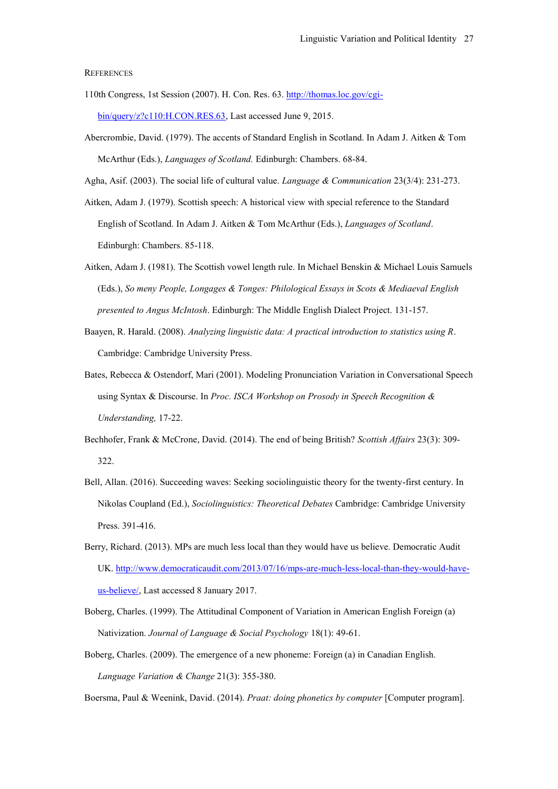#### **REFERENCES**

- 110th Congress, 1st Session (2007). H. Con. Res. 63. [http://thomas.loc.gov/cgi](http://thomas.loc.gov/cgi-bin/query/z?c110:H.CON.RES.63)[bin/query/z?c110:H.CON.RES.63,](http://thomas.loc.gov/cgi-bin/query/z?c110:H.CON.RES.63) Last accessed June 9, 2015.
- Abercrombie, David. (1979). The accents of Standard English in Scotland. In Adam J. Aitken & Tom McArthur (Eds.), *Languages of Scotland.* Edinburgh: Chambers. 68-84.

Agha, Asif. (2003). The social life of cultural value. *Language & Communication* 23(3/4): 231-273.

Aitken, Adam J. (1979). Scottish speech: A historical view with special reference to the Standard English of Scotland. In Adam J. Aitken & Tom McArthur (Eds.), *Languages of Scotland*. Edinburgh: Chambers. 85-118.

- Aitken, Adam J. (1981). The Scottish vowel length rule. In Michael Benskin & Michael Louis Samuels (Eds.), *So meny People, Longages & Tonges: Philological Essays in Scots & Mediaeval English presented to Angus McIntosh*. Edinburgh: The Middle English Dialect Project. 131-157.
- Baayen, R. Harald. (2008). *Analyzing linguistic data: A practical introduction to statistics using R*. Cambridge: Cambridge University Press.
- Bates, Rebecca & Ostendorf, Mari (2001). Modeling Pronunciation Variation in Conversational Speech using Syntax & Discourse. In *Proc. ISCA Workshop on Prosody in Speech Recognition & Understanding,* 17-22.
- Bechhofer, Frank & McCrone, David. (2014). The end of being British? *Scottish Affairs* 23(3): 309- 322.
- Bell, Allan. (2016). Succeeding waves: Seeking sociolinguistic theory for the twenty-first century. In Nikolas Coupland (Ed.), *Sociolinguistics: Theoretical Debates* Cambridge: Cambridge University Press. 391-416.
- Berry, Richard. (2013). MPs are much less local than they would have us believe. Democratic Audit UK[. http://www.democraticaudit.com/2013/07/16/mps-are-much-less-local-than-they-would-have](http://www.democraticaudit.com/2013/07/16/mps-are-much-less-local-than-they-would-have-us-believe/)[us-believe/,](http://www.democraticaudit.com/2013/07/16/mps-are-much-less-local-than-they-would-have-us-believe/) Last accessed 8 January 2017.
- Boberg, Charles. (1999). The Attitudinal Component of Variation in American English Foreign (a) Nativization. *Journal of Language & Social Psychology* 18(1): 49-61.
- Boberg, Charles. (2009). The emergence of a new phoneme: Foreign (a) in Canadian English. *Language Variation & Change* 21(3): 355-380.

Boersma, Paul & Weenink, David. (2014). *Praat: doing phonetics by computer* [Computer program].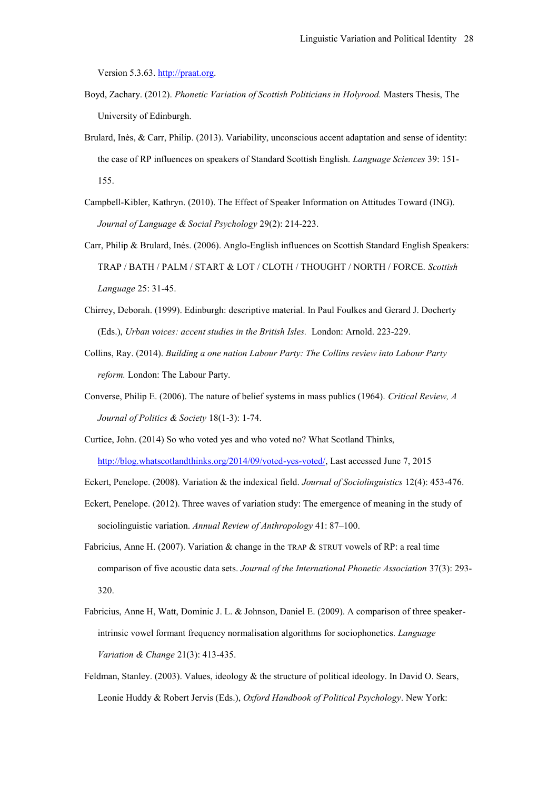Version 5.3.63. [http://praat.org.](http://praat.org/)

- Boyd, Zachary. (2012). *Phonetic Variation of Scottish Politicians in Holyrood.* Masters Thesis, The University of Edinburgh.
- Brulard, Inès, & Carr, Philip. (2013). Variability, unconscious accent adaptation and sense of identity: the case of RP influences on speakers of Standard Scottish English. *Language Sciences* 39: 151- 155.
- Campbell-Kibler, Kathryn. (2010). The Effect of Speaker Information on Attitudes Toward (ING). *Journal of Language & Social Psychology* 29(2): 214-223.
- Carr, Philip & Brulard, Inés. (2006). Anglo-English influences on Scottish Standard English Speakers: TRAP / BATH / PALM / START & LOT / CLOTH / THOUGHT / NORTH / FORCE. *Scottish Language* 25: 31-45.
- Chirrey, Deborah. (1999). Edinburgh: descriptive material. In Paul Foulkes and Gerard J. Docherty (Eds.), *Urban voices: accent studies in the British Isles.* London: Arnold. 223-229.
- Collins, Ray. (2014). *Building a one nation Labour Party: The Collins review into Labour Party reform.* London: The Labour Party.
- Converse, Philip E. (2006). The nature of belief systems in mass publics (1964). *Critical Review, A Journal of Politics & Society* 18(1-3): 1-74.
- Curtice, John. (2014) So who voted yes and who voted no? What Scotland Thinks, [http://blog.whatscotlandthinks.org/2014/09/voted-yes-voted/,](http://blog.whatscotlandthinks.org/2014/09/voted-yes-voted/) Last accessed June 7, 2015
- Eckert, Penelope. (2008). Variation & the indexical field. *Journal of Sociolinguistics* 12(4): 453-476.
- Eckert, Penelope. (2012). Three waves of variation study: The emergence of meaning in the study of sociolinguistic variation. *Annual Review of Anthropology* 41: 87–100.
- Fabricius, Anne H. (2007). Variation & change in the TRAP & STRUT vowels of RP: a real time comparison of five acoustic data sets. *Journal of the International Phonetic Association* 37(3): 293- 320.
- Fabricius, Anne H, Watt, Dominic J. L. & Johnson, Daniel E. (2009). A comparison of three speakerintrinsic vowel formant frequency normalisation algorithms for sociophonetics. *Language Variation & Change* 21(3): 413-435.
- Feldman, Stanley. (2003). Values, ideology & the structure of political ideology. In David O. Sears, Leonie Huddy & Robert Jervis (Eds.), *Oxford Handbook of Political Psychology*. New York: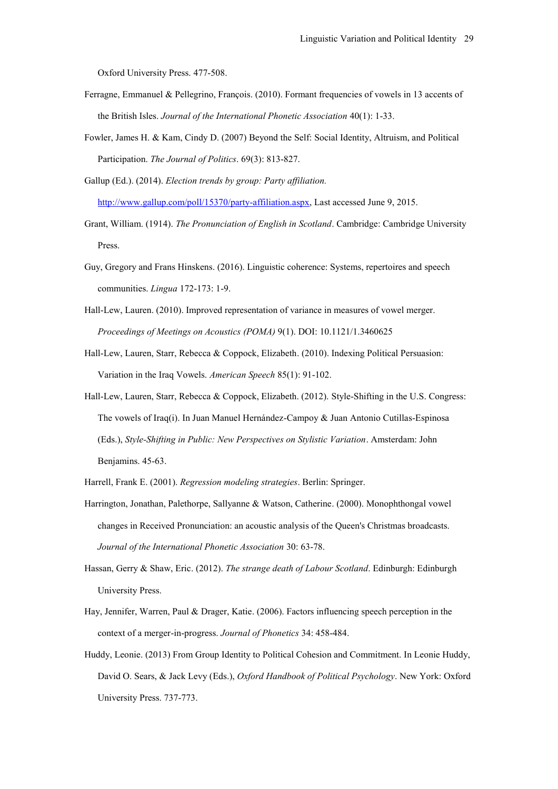Oxford University Press. 477-508.

- Ferragne, Emmanuel & Pellegrino, François. (2010). Formant frequencies of vowels in 13 accents of the British Isles. *Journal of the International Phonetic Association* 40(1): 1-33.
- Fowler, James H. & Kam, Cindy D. (2007) Beyond the Self: Social Identity, Altruism, and Political Participation. *The Journal of Politics*. 69(3): 813-827.
- Gallup (Ed.). (2014). *Election trends by group: Party affiliation.* [http://www.gallup.com/poll/15370/party-affiliation.aspx,](http://www.gallup.com/poll/15370/party-affiliation.aspx) Last accessed June 9, 2015.
- Grant, William. (1914). *The Pronunciation of English in Scotland*. Cambridge: Cambridge University Press.
- Guy, Gregory and Frans Hinskens. (2016). Linguistic coherence: Systems, repertoires and speech communities. *Lingua* 172-173: 1-9.
- Hall-Lew, Lauren. (2010). Improved representation of variance in measures of vowel merger. *Proceedings of Meetings on Acoustics (POMA)* 9(1). DOI: 10.1121/1.3460625
- Hall-Lew, Lauren, Starr, Rebecca & Coppock, Elizabeth. (2010). Indexing Political Persuasion: Variation in the Iraq Vowels. *American Speech* 85(1): 91-102.
- Hall-Lew, Lauren, Starr, Rebecca & Coppock, Elizabeth. (2012). Style-Shifting in the U.S. Congress: The vowels of Iraq(i). In Juan Manuel Hernández-Campoy & Juan Antonio Cutillas-Espinosa (Eds.), *Style-Shifting in Public: New Perspectives on Stylistic Variation*. Amsterdam: John Benjamins. 45-63.
- Harrell, Frank E. (2001). *Regression modeling strategies*. Berlin: Springer.
- Harrington, Jonathan, Palethorpe, Sallyanne & Watson, Catherine. (2000). Monophthongal vowel changes in Received Pronunciation: an acoustic analysis of the Queen's Christmas broadcasts. *Journal of the International Phonetic Association* 30: 63-78.
- Hassan, Gerry & Shaw, Eric. (2012). *The strange death of Labour Scotland*. Edinburgh: Edinburgh University Press.
- Hay, Jennifer, Warren, Paul & Drager, Katie. (2006). Factors influencing speech perception in the context of a merger-in-progress. *Journal of Phonetics* 34: 458-484.
- Huddy, Leonie. (2013) From Group Identity to Political Cohesion and Commitment. In Leonie Huddy, David O. Sears, & Jack Levy (Eds.), *Oxford Handbook of Political Psychology*. New York: Oxford University Press. 737-773.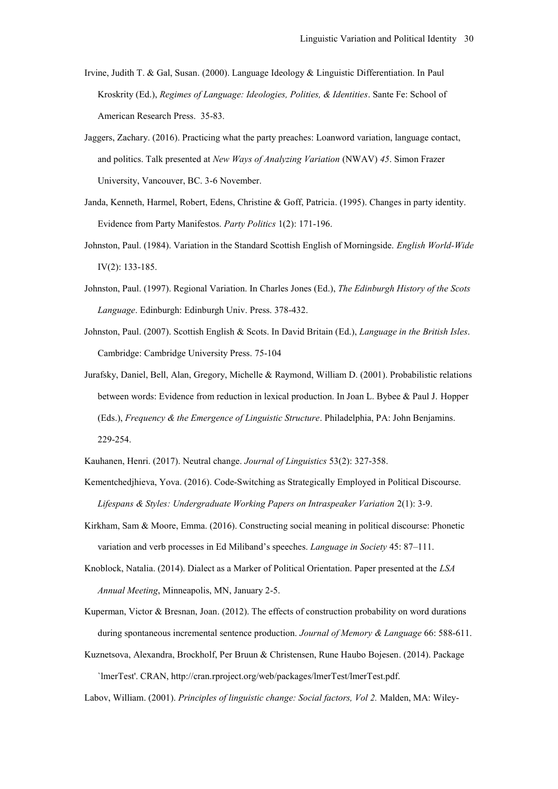- Irvine, Judith T. & Gal, Susan. (2000). Language Ideology & Linguistic Differentiation. In Paul Kroskrity (Ed.), *Regimes of Language: Ideologies, Polities, & Identities*. Sante Fe: School of American Research Press. 35-83.
- Jaggers, Zachary. (2016). Practicing what the party preaches: Loanword variation, language contact, and politics. Talk presented at *New Ways of Analyzing Variation* (NWAV) *45*. Simon Frazer University, Vancouver, BC. 3-6 November.
- Janda, Kenneth, Harmel, Robert, Edens, Christine & Goff, Patricia. (1995). Changes in party identity. Evidence from Party Manifestos. *Party Politics* 1(2): 171-196.
- Johnston, Paul. (1984). Variation in the Standard Scottish English of Morningside. *English World-Wide* IV(2): 133-185.
- Johnston, Paul. (1997). Regional Variation. In Charles Jones (Ed.), *The Edinburgh History of the Scots Language*. Edinburgh: Edinburgh Univ. Press. 378-432.
- Johnston, Paul. (2007). Scottish English & Scots. In David Britain (Ed.), *Language in the British Isles*. Cambridge: Cambridge University Press. 75-104
- Jurafsky, Daniel, Bell, Alan, Gregory, Michelle & Raymond, William D. (2001). Probabilistic relations between words: Evidence from reduction in lexical production. In Joan L. Bybee & Paul J. Hopper (Eds.), *Frequency & the Emergence of Linguistic Structure*. Philadelphia, PA: John Benjamins. 229-254.
- Kauhanen, Henri. (2017). Neutral change. *Journal of Linguistics* 53(2): 327-358.
- Kementchedjhieva, Yova. (2016). Code-Switching as Strategically Employed in Political Discourse. *Lifespans & Styles: Undergraduate Working Papers on Intraspeaker Variation* 2(1): 3-9.
- Kirkham, Sam & Moore, Emma. (2016). Constructing social meaning in political discourse: Phonetic variation and verb processes in Ed Miliband's speeches. *Language in Society* 45: 87–111.
- Knoblock, Natalia. (2014). Dialect as a Marker of Political Orientation. Paper presented at the *LSA Annual Meeting*, Minneapolis, MN, January 2-5.
- Kuperman, Victor & Bresnan, Joan. (2012). The effects of construction probability on word durations during spontaneous incremental sentence production. *Journal of Memory & Language* 66: 588-611.
- Kuznetsova, Alexandra, Brockholf, Per Bruun & Christensen, Rune Haubo Bojesen. (2014). Package `lmerTest'. CRAN, http://cran.rproject.org/web/packages/lmerTest/lmerTest.pdf.

Labov, William. (2001). *Principles of linguistic change: Social factors, Vol 2.* Malden, MA: Wiley-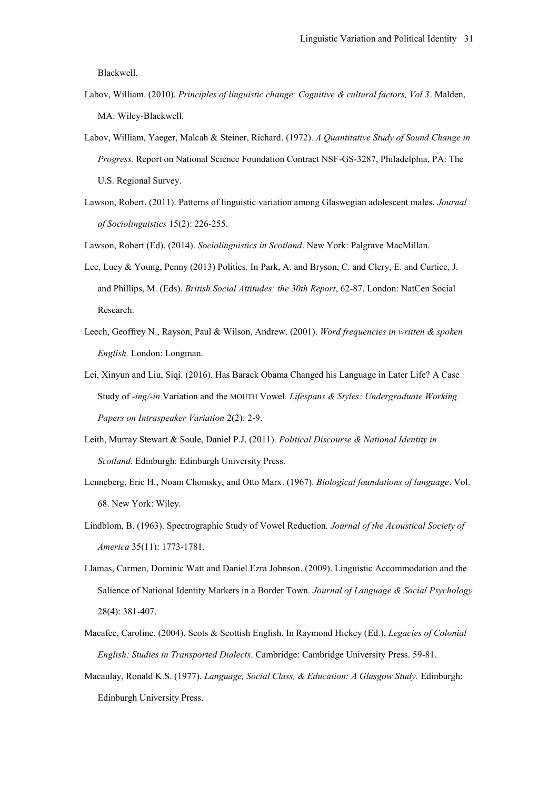Blackwell.

- Labov, William. (2010). *Principles of linguistic change: Cognitive & cultural factors, Vol 3*. Malden, MA: Wiley-Blackwell.
- Labov, William, Yaeger, Malcah & Steiner, Richard. (1972). *A Quantitative Study of Sound Change in Progress.* Report on National Science Foundation Contract NSF-GS-3287, Philadelphia, PA: The U.S. Regional Survey.
- Lawson, Robert. (2011). Patterns of linguistic variation among Glaswegian adolescent males. *Journal of Sociolinguistics* 15(2): 226-255.

Lawson, Robert (Ed). (2014). *Sociolinguistics in Scotland*. New York: Palgrave MacMillan.

- Lee, Lucy & Young, Penny (2013) Politics. In Park, A. and Bryson, C. and Clery, E. and Curtice, J. and Phillips, M. (Eds). *British Social Attitudes: the 30th Report*, 62-87. London: NatCen Social Research.
- Leech, Geoffrey N., Rayson, Paul & Wilson, Andrew. (2001). *Word frequencies in written & spoken English.* London: Longman.
- Lei, Xinyun and Liu, Siqi. (2016). Has Barack Obama Changed his Language in Later Life? A Case Study of *-ing/-in* Variation and the MOUTH Vowel. *Lifespans & Styles: Undergraduate Working Papers on Intraspeaker Variation* 2(2): 2-9.
- Leith, Murray Stewart & Soule, Daniel P.J. (2011). *Political Discourse & National Identity in Scotland*. Edinburgh: Edinburgh University Press.
- Lenneberg, Eric H., Noam Chomsky, and Otto Marx. (1967). *Biological foundations of language*. Vol. 68. New York: Wiley.
- Lindblom, B. (1963). Spectrographic Study of Vowel Reduction. *Journal of the Acoustical Society of America* 35(11): 1773-1781.
- Llamas, Carmen, Dominic Watt and Daniel Ezra Johnson. (2009). Linguistic Accommodation and the Salience of National Identity Markers in a Border Town. *Journal of Language & Social Psychology* 28(4): 381-407.
- Macafee, Caroline. (2004). Scots & Scottish English. In Raymond Hickey (Ed.), *Legacies of Colonial English: Studies in Transported Dialects*. Cambridge: Cambridge University Press. 59-81.
- Macaulay, Ronald K.S. (1977). *Language, Social Class, & Education: A Glasgow Study.* Edinburgh: Edinburgh University Press.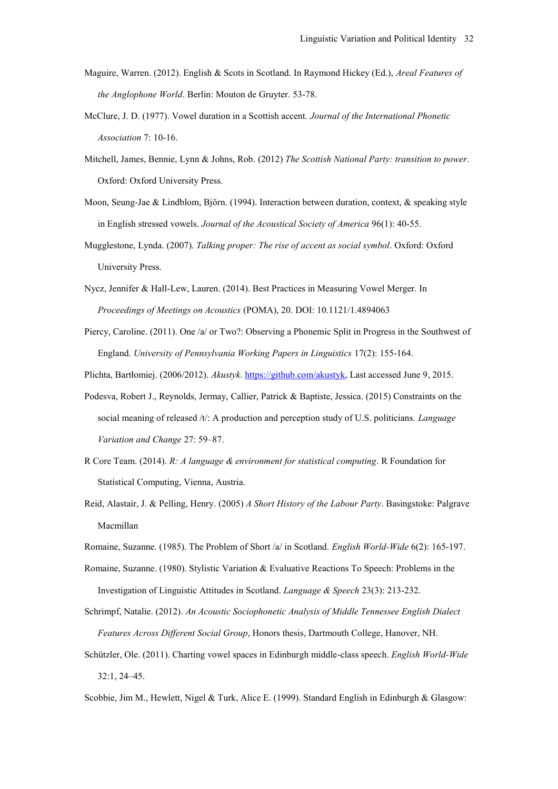- Maguire, Warren. (2012). English & Scots in Scotland. In Raymond Hickey (Ed.), *Areal Features of the Anglophone World*. Berlin: Mouton de Gruyter. 53-78.
- McClure, J. D. (1977). Vowel duration in a Scottish accent. *Journal of the International Phonetic Association* 7: 10-16.
- Mitchell, James, Bennie, Lynn & Johns, Rob. (2012) *The Scottish National Party: transition to power*. Oxford: Oxford University Press.
- Moon, Seung-Jae & Lindblom, Björn. (1994). Interaction between duration, context, & speaking style in English stressed vowels. *Journal of the Acoustical Society of America* 96(1): 40-55.
- Mugglestone, Lynda. (2007). *Talking proper: The rise of accent as social symbol*. Oxford: Oxford University Press.
- Nycz, Jennifer & Hall-Lew, Lauren. (2014). Best Practices in Measuring Vowel Merger. In *Proceedings of Meetings on Acoustics* (POMA), 20. DOI: 10.1121/1.4894063
- Piercy, Caroline. (2011). One /a/ or Two?: Observing a Phonemic Split in Progress in the Southwest of England. *University of Pennsylvania Working Papers in Linguistics* 17(2): 155-164.
- Plichta, Bartłomiej. (2006/2012). *Akustyk*. [https://github.com/akustyk,](https://github.com/akustyk) Last accessed June 9, 2015.
- Podesva, Robert J., Reynolds, Jermay, Callier, Patrick & Baptiste, Jessica. (2015) Constraints on the social meaning of released /t/: A production and perception study of U.S. politicians. *Language Variation and Change* 27: 59–87.
- R Core Team. (2014). *R: A language & environment for statistical computing*. R Foundation for Statistical Computing, Vienna, Austria.
- Reid, Alastair, J. & Pelling, Henry. (2005) *A Short History of the Labour Party*. Basingstoke: Palgrave Macmillan
- Romaine, Suzanne. (1985). The Problem of Short /a/ in Scotland. *English World-Wide* 6(2): 165-197.
- Romaine, Suzanne. (1980). Stylistic Variation & Evaluative Reactions To Speech: Problems in the Investigation of Linguistic Attitudes in Scotland. *Language & Speech* 23(3): 213-232.
- Schrimpf, Natalie. (2012). *An Acoustic Sociophonetic Analysis of Middle Tennessee English Dialect Features Across Different Social Group*, Honors thesis, Dartmouth College, Hanover, NH.
- Schützler, Ole. (2011). Charting vowel spaces in Edinburgh middle-class speech. *English World-Wide* 32:1, 24–45.
- Scobbie, Jim M., Hewlett, Nigel & Turk, Alice E. (1999). Standard English in Edinburgh & Glasgow: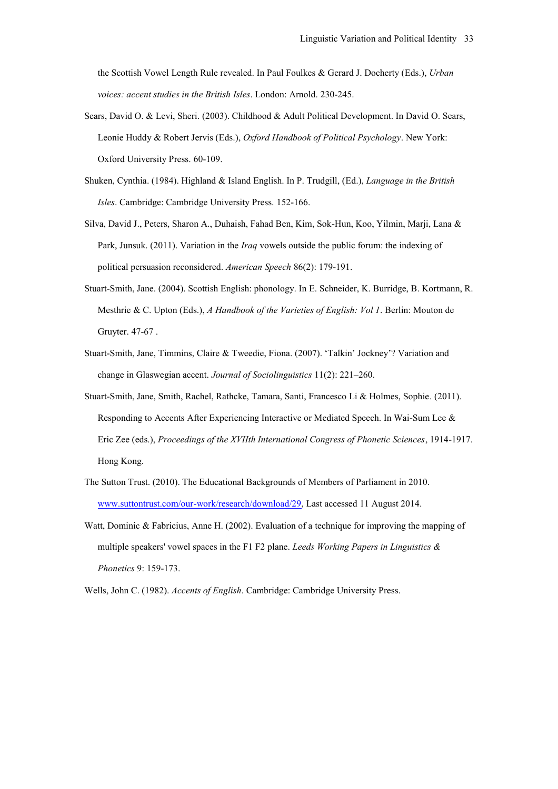the Scottish Vowel Length Rule revealed. In Paul Foulkes & Gerard J. Docherty (Eds.), *Urban voices: accent studies in the British Isles*. London: Arnold. 230-245.

- Sears, David O. & Levi, Sheri. (2003). Childhood & Adult Political Development. In David O. Sears, Leonie Huddy & Robert Jervis (Eds.), *Oxford Handbook of Political Psychology*. New York: Oxford University Press. 60-109.
- Shuken, Cynthia. (1984). Highland & Island English. In P. Trudgill, (Ed.), *Language in the British Isles*. Cambridge: Cambridge University Press. 152-166.
- Silva, David J., Peters, Sharon A., Duhaish, Fahad Ben, Kim, Sok-Hun, Koo, Yilmin, Marji, Lana & Park, Junsuk. (2011). Variation in the *Iraq* vowels outside the public forum: the indexing of political persuasion reconsidered. *American Speech* 86(2): 179-191.
- Stuart-Smith, Jane. (2004). Scottish English: phonology. In E. Schneider, K. Burridge, B. Kortmann, R. Mesthrie & C. Upton (Eds.), *A Handbook of the Varieties of English: Vol 1*. Berlin: Mouton de Gruyter. 47-67 .
- Stuart-Smith, Jane, Timmins, Claire & Tweedie, Fiona. (2007). 'Talkin' Jockney'? Variation and change in Glaswegian accent. *Journal of Sociolinguistics* 11(2): 221–260.
- Stuart-Smith, Jane, Smith, Rachel, Rathcke, Tamara, Santi, Francesco Li & Holmes, Sophie. (2011). Responding to Accents After Experiencing Interactive or Mediated Speech. In Wai-Sum Lee & Eric Zee (eds.), *Proceedings of the XVIIth International Congress of Phonetic Sciences*, 1914-1917. Hong Kong.
- The Sutton Trust. (2010). The Educational Backgrounds of Members of Parliament in 2010. [www.suttontrust.com/our-work/research/download/29,](http://www.suttontrust.com/our-work/research/download/29) Last accessed 11 August 2014.
- Watt, Dominic & Fabricius, Anne H. (2002). Evaluation of a technique for improving the mapping of multiple speakers' vowel spaces in the F1 F2 plane. *Leeds Working Papers in Linguistics & Phonetics* 9: 159-173.
- Wells, John C. (1982). *Accents of English*. Cambridge: Cambridge University Press.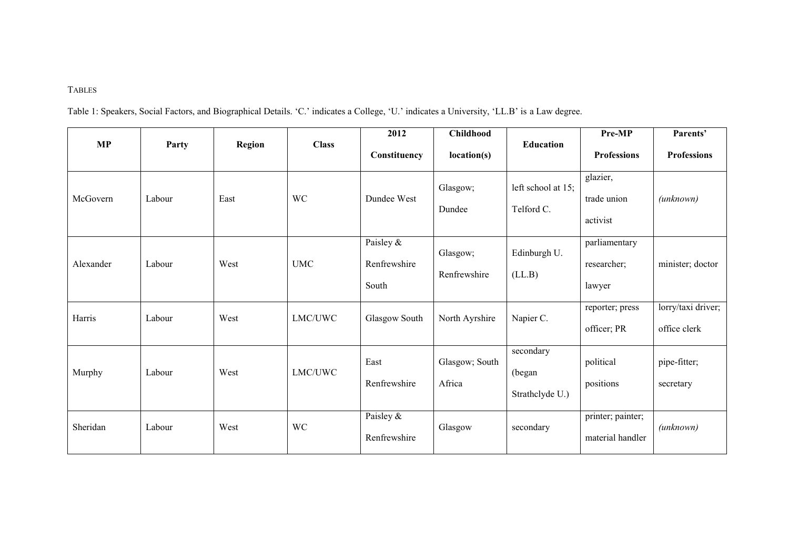# TABLES

Table 1: Speakers, Social Factors, and Biographical Details. 'C.' indicates a College, 'U.' indicates a University, 'LL.B' is a Law degree.

| <b>MP</b> | Party  | Region | <b>Class</b> | 2012<br>Constituency               | Childhood<br>location(s) | <b>Education</b>                       | Pre-MP<br><b>Professions</b>           | Parents'<br><b>Professions</b>     |
|-----------|--------|--------|--------------|------------------------------------|--------------------------|----------------------------------------|----------------------------------------|------------------------------------|
| McGovern  | Labour | East   | <b>WC</b>    | Dundee West                        | Glasgow;<br>Dundee       | left school at 15;<br>Telford C.       | glazier,<br>trade union<br>activist    | $(\textit{unknown})$               |
| Alexander | Labour | West   | <b>UMC</b>   | Paisley &<br>Renfrewshire<br>South | Glasgow;<br>Renfrewshire | Edinburgh U.<br>(LL.B)                 | parliamentary<br>researcher;<br>lawyer | minister; doctor                   |
| Harris    | Labour | West   | LMC/UWC      | Glasgow South                      | North Ayrshire           | Napier C.                              | reporter; press<br>officer; PR         | lorry/taxi driver;<br>office clerk |
| Murphy    | Labour | West   | LMC/UWC      | East<br>Renfrewshire               | Glasgow; South<br>Africa | secondary<br>(began<br>Strathclyde U.) | political<br>positions                 | pipe-fitter;<br>secretary          |
| Sheridan  | Labour | West   | <b>WC</b>    | Paisley &<br>Renfrewshire          | Glasgow                  | secondary                              | printer; painter;<br>material handler  | $(\textit{unknown})$               |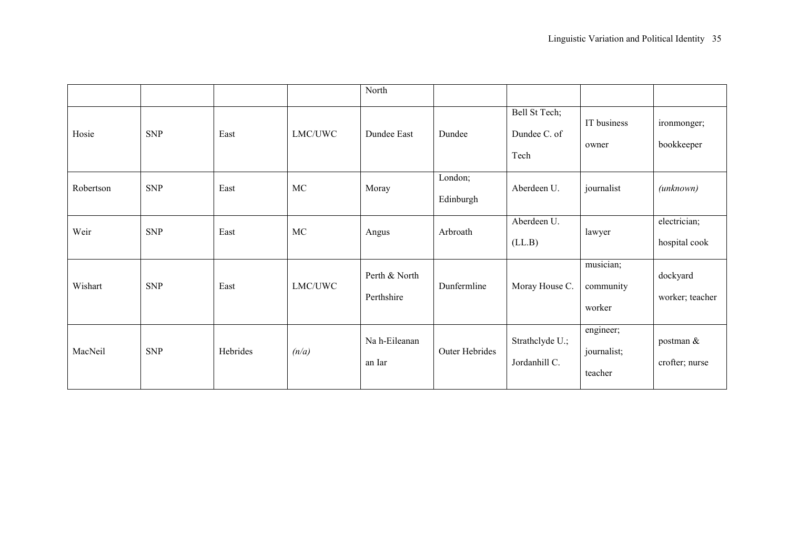|           |            |          |           | North                       |                       |                                       |                                     |                               |
|-----------|------------|----------|-----------|-----------------------------|-----------------------|---------------------------------------|-------------------------------------|-------------------------------|
| Hosie     | <b>SNP</b> | East     | LMC/UWC   | Dundee East                 | Dundee                | Bell St Tech;<br>Dundee C. of<br>Tech | IT business<br>owner                | ironmonger;<br>bookkeeper     |
| Robertson | <b>SNP</b> | East     | MC        | Moray                       | London;<br>Edinburgh  | Aberdeen U.                           | journalist                          | (unknown)                     |
| Weir      | <b>SNP</b> | East     | <b>MC</b> | Angus                       | Arbroath              | Aberdeen U.<br>(LL.B)                 | lawyer                              | electrician;<br>hospital cook |
| Wishart   | <b>SNP</b> | East     | LMC/UWC   | Perth & North<br>Perthshire | Dunfermline           | Moray House C.                        | musician;<br>community<br>worker    | dockyard<br>worker; teacher   |
| MacNeil   | <b>SNP</b> | Hebrides | (n/a)     | Na h-Eileanan<br>an Iar     | <b>Outer Hebrides</b> | Strathclyde U.;<br>Jordanhill C.      | engineer;<br>journalist;<br>teacher | postman &<br>crofter; nurse   |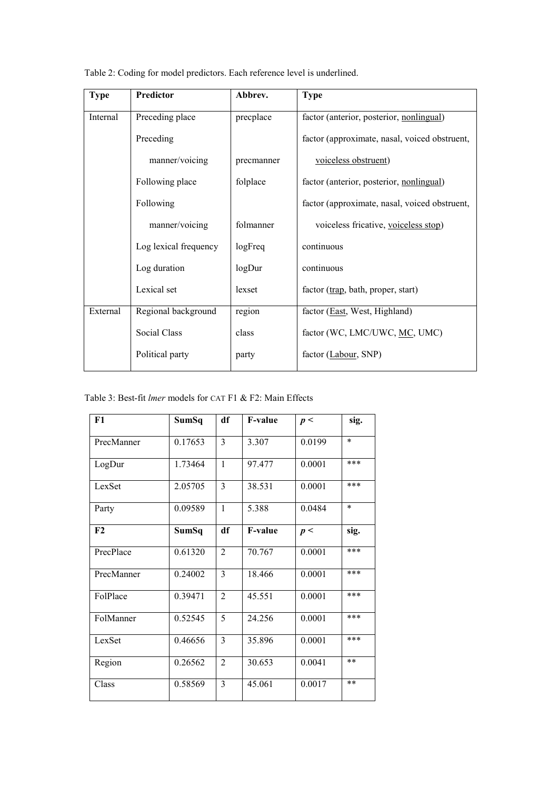| <b>Type</b> | Predictor             | Abbrev.    | <b>Type</b>                                   |
|-------------|-----------------------|------------|-----------------------------------------------|
| Internal    | Preceding place       | precplace  | factor (anterior, posterior, nonlingual)      |
|             | Preceding             |            | factor (approximate, nasal, voiced obstruent, |
|             | manner/voicing        | precmanner | voiceless obstruent)                          |
|             | Following place       | folplace   | factor (anterior, posterior, nonlingual)      |
|             | Following             |            | factor (approximate, nasal, voiced obstruent, |
|             | manner/voicing        | folmanner  | voiceless fricative, voiceless stop)          |
|             | Log lexical frequency | logFreq    | continuous                                    |
|             | Log duration          | logDur     | continuous                                    |
|             | Lexical set           | lexset     | factor (trap, bath, proper, start)            |
| External    | Regional background   | region     | factor (East, West, Highland)                 |
|             | Social Class          | class      | factor (WC, LMC/UWC, MC, UMC)                 |
|             | Political party       | party      | factor (Labour, SNP)                          |

Table 2: Coding for model predictors. Each reference level is underlined.

|  |  | Table 3: Best-fit <i>lmer</i> models for CAT F1 & F2: Main Effects |
|--|--|--------------------------------------------------------------------|
|--|--|--------------------------------------------------------------------|

| F1         | SumSq   | df             | <b>F-value</b> | p<     | sig.   |
|------------|---------|----------------|----------------|--------|--------|
| PrecManner | 0.17653 | $\overline{3}$ | 3.307          | 0.0199 | $\ast$ |
| LogDur     | 1.73464 | 1              | 97.477         | 0.0001 | ***    |
| LexSet     | 2.05705 | $\overline{3}$ | 38.531         | 0.0001 | ***    |
| Party      | 0.09589 | $\mathbf{1}$   | 5.388          | 0.0484 | $\ast$ |
| F2         | SumSq   | df             | <b>F-value</b> | p<     | sig.   |
| PrecPlace  | 0.61320 | $\overline{2}$ | 70.767         | 0.0001 | ***    |
| PrecManner | 0.24002 | $\overline{3}$ | 18.466         | 0.0001 | ***    |
| FolPlace   | 0.39471 | $\overline{2}$ | 45.551         | 0.0001 | ***    |
| FolManner  | 0.52545 | 5              | 24.256         | 0.0001 | ***    |
| LexSet     | 0.46656 | $\overline{3}$ | 35.896         | 0.0001 | ***    |
| Region     | 0.26562 | 2              | 30.653         | 0.0041 | $**$   |
| Class      | 0.58569 | 3              | 45.061         | 0.0017 | $**$   |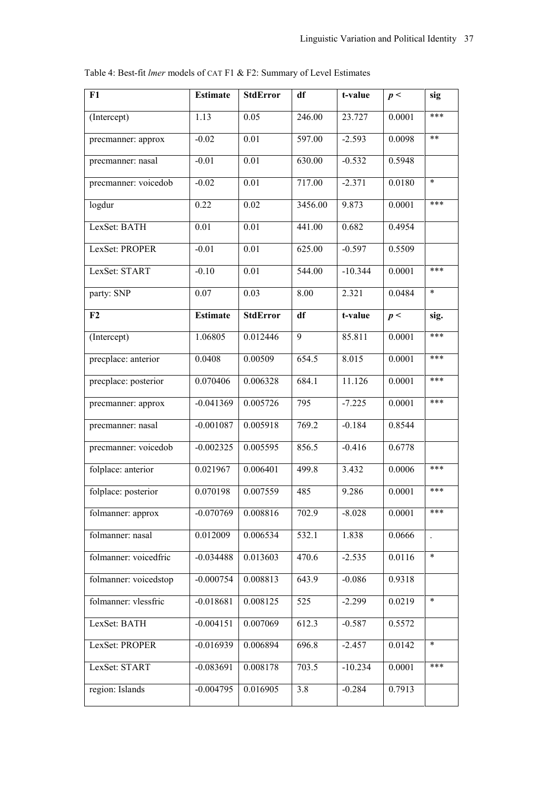| F1                    | <b>Estimate</b> | <b>StdError</b> | df      | t-value   | p<     | sig                  |
|-----------------------|-----------------|-----------------|---------|-----------|--------|----------------------|
| (Intercept)           | 1.13            | 0.05            | 246.00  | 23.727    | 0.0001 | ***                  |
| precmanner: approx    | $-0.02$         | 0.01            | 597.00  | $-2.593$  | 0.0098 | $***$                |
| precmanner: nasal     | $-0.01$         | 0.01            | 630.00  | $-0.532$  | 0.5948 |                      |
| precmanner: voicedob  | $-0.02$         | 0.01            | 717.00  | $-2.371$  | 0.0180 | $\ast$               |
| logdur                | 0.22            | 0.02            | 3456.00 | 9.873     | 0.0001 | ***                  |
| LexSet: BATH          | 0.01            | 0.01            | 441.00  | 0.682     | 0.4954 |                      |
| LexSet: PROPER        | $-0.01$         | 0.01            | 625.00  | $-0.597$  | 0.5509 |                      |
| LexSet: START         | $-0.10$         | 0.01            | 544.00  | $-10.344$ | 0.0001 | ***                  |
| party: SNP            | 0.07            | 0.03            | 8.00    | 2.321     | 0.0484 | $\ast$               |
| F <sub>2</sub>        | <b>Estimate</b> | <b>StdError</b> | df      | t-value   | p<     | sig.                 |
| (Intercept)           | 1.06805         | 0.012446        | 9       | 85.811    | 0.0001 | ***                  |
| precplace: anterior   | 0.0408          | 0.00509         | 654.5   | 8.015     | 0.0001 | ***                  |
| precplace: posterior  | 0.070406        | 0.006328        | 684.1   | 11.126    | 0.0001 | ***                  |
| precmanner: approx    | $-0.041369$     | 0.005726        | 795     | $-7.225$  | 0.0001 | ***                  |
| precmanner: nasal     | $-0.001087$     | 0.005918        | 769.2   | $-0.184$  | 0.8544 |                      |
| precmanner: voicedob  | $-0.002325$     | 0.005595        | 856.5   | $-0.416$  | 0.6778 |                      |
| folplace: anterior    | 0.021967        | 0.006401        | 499.8   | 3.432     | 0.0006 | ***                  |
| folplace: posterior   | 0.070198        | 0.007559        | 485     | 9.286     | 0.0001 | ***                  |
| folmanner: approx     | $-0.070769$     | 0.008816        | 702.9   | $-8.028$  | 0.0001 | ***                  |
| folmanner: nasal      | 0.012009        | 0.006534        | 532.1   | 1.838     | 0.0666 | $\ddot{\phantom{a}}$ |
| folmanner: voicedfric | $-0.034488$     | 0.013603        | 470.6   | $-2.535$  | 0.0116 | $\ast$               |
| folmanner: voicedstop | $-0.000754$     | 0.008813        | 643.9   | $-0.086$  | 0.9318 |                      |
| folmanner: vlessfric  | $-0.018681$     | 0.008125        | 525     | $-2.299$  | 0.0219 | $\ast$               |
| LexSet: BATH          | $-0.004151$     | 0.007069        | 612.3   | $-0.587$  | 0.5572 |                      |
| LexSet: PROPER        | $-0.016939$     | 0.006894        | 696.8   | $-2.457$  | 0.0142 | $\ast$               |
| LexSet: START         | $-0.083691$     | 0.008178        | 703.5   | $-10.234$ | 0.0001 | ***                  |
| region: Islands       | $-0.004795$     | 0.016905        | 3.8     | $-0.284$  | 0.7913 |                      |

Table 4: Best-fit *lmer* models of CAT F1 & F2: Summary of Level Estimates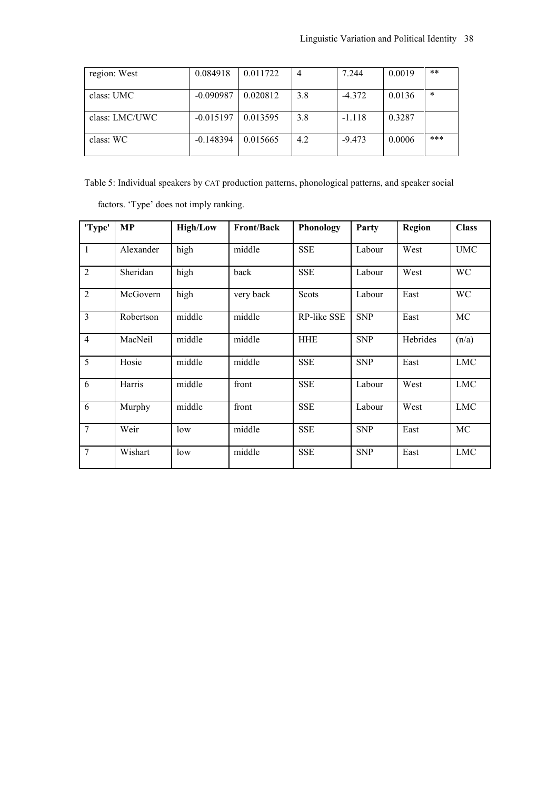| region: West   | 0.084918    | 0.011722 | 4   | 7.244    | 0.0019 | $***$  |
|----------------|-------------|----------|-----|----------|--------|--------|
| class: UMC     | $-0.090987$ | 0.020812 | 3.8 | $-4.372$ | 0.0136 | $\ast$ |
| class: LMC/UWC | $-0.015197$ | 0.013595 | 3.8 | $-1.118$ | 0.3287 |        |
| class: WC      | $-0.148394$ | 0.015665 | 4.2 | $-9.473$ | 0.0006 | ***    |

Table 5: Individual speakers by CAT production patterns, phonological patterns, and speaker social

factors. 'Type' does not imply ranking.

| 'Type'         | MP        | <b>High/Low</b> | <b>Front/Back</b> | Phonology   | Party      | Region   | <b>Class</b> |
|----------------|-----------|-----------------|-------------------|-------------|------------|----------|--------------|
| $\mathbf{1}$   | Alexander | high            | middle            | <b>SSE</b>  | Labour     | West     | <b>UMC</b>   |
| $\overline{2}$ | Sheridan  | high            | back              | <b>SSE</b>  | Labour     | West     | WC           |
| $\overline{2}$ | McGovern  | high            | very back         | Scots       | Labour     | East     | WC           |
| $\overline{3}$ | Robertson | middle          | middle            | RP-like SSE | <b>SNP</b> | East     | MC           |
| $\overline{4}$ | MacNeil   | middle          | middle            | <b>HHE</b>  | <b>SNP</b> | Hebrides | (n/a)        |
| 5              | Hosie     | middle          | middle            | <b>SSE</b>  | <b>SNP</b> | East     | <b>LMC</b>   |
| 6              | Harris    | middle          | front             | <b>SSE</b>  | Labour     | West     | <b>LMC</b>   |
| 6              | Murphy    | middle          | front             | <b>SSE</b>  | Labour     | West     | <b>LMC</b>   |
| $\overline{7}$ | Weir      | low             | middle            | <b>SSE</b>  | <b>SNP</b> | East     | MC           |
| $\overline{7}$ | Wishart   | low             | middle            | <b>SSE</b>  | <b>SNP</b> | East     | <b>LMC</b>   |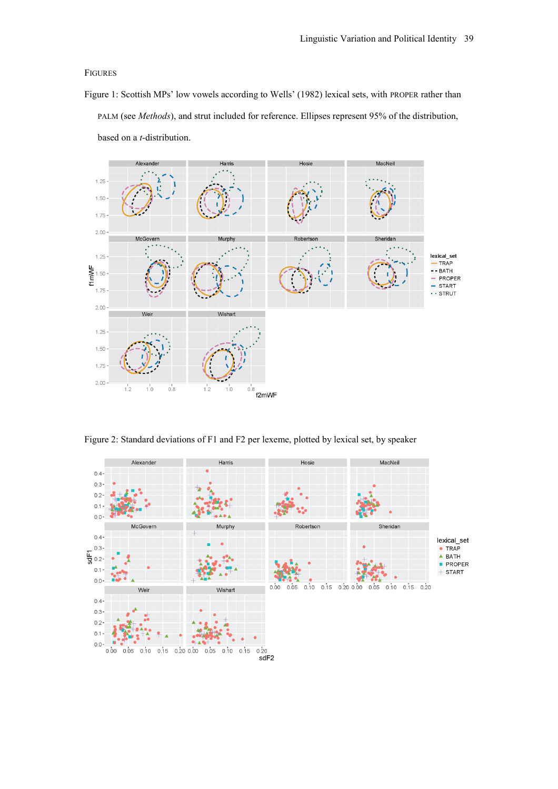#### FIGURES

Figure 1: Scottish MPs' low vowels according to Wells' (1982) lexical sets, with PROPER rather than PALM (see *Methods*), and strut included for reference. Ellipses represent 95% of the distribution, based on a *t*-distribution.



Figure 2: Standard deviations of F1 and F2 per lexeme, plotted by lexical set, by speaker